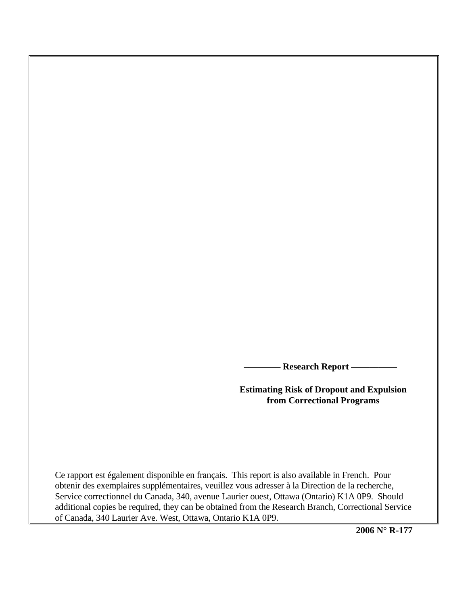**\_\_\_\_\_\_\_\_ Research Report \_\_\_\_\_\_\_\_\_\_** 

**Estimating Risk of Dropout and Expulsion from Correctional Programs** 

Ce rapport est également disponible en français. This report is also available in French. Pour obtenir des exemplaires supplémentaires, veuillez vous adresser à la Direction de la recherche, Service correctionnel du Canada, 340, avenue Laurier ouest, Ottawa (Ontario) K1A 0P9. Should additional copies be required, they can be obtained from the Research Branch, Correctional Service of Canada, 340 Laurier Ave. West, Ottawa, Ontario K1A 0P9.

**2006 N° R-177**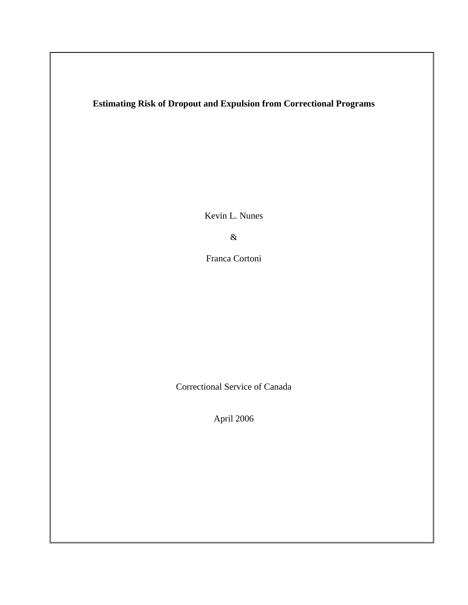# **Estimating Risk of Dropout and Expulsion from Correctional Programs**

Kevin L. Nunes

&

Franca Cortoni

Correctional Service of Canada

April 2006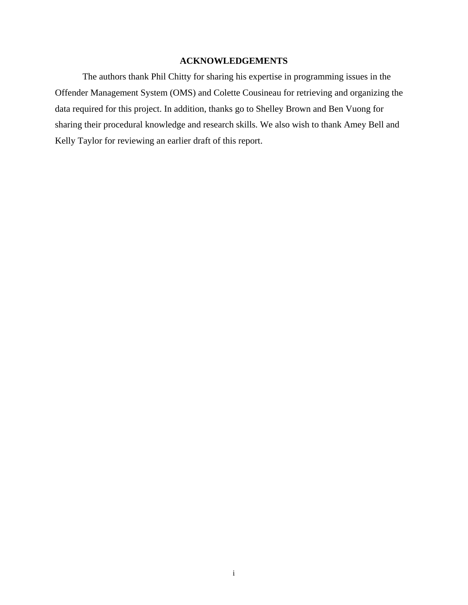### **ACKNOWLEDGEMENTS**

The authors thank Phil Chitty for sharing his expertise in programming issues in the Offender Management System (OMS) and Colette Cousineau for retrieving and organizing the data required for this project. In addition, thanks go to Shelley Brown and Ben Vuong for sharing their procedural knowledge and research skills. We also wish to thank Amey Bell and Kelly Taylor for reviewing an earlier draft of this report.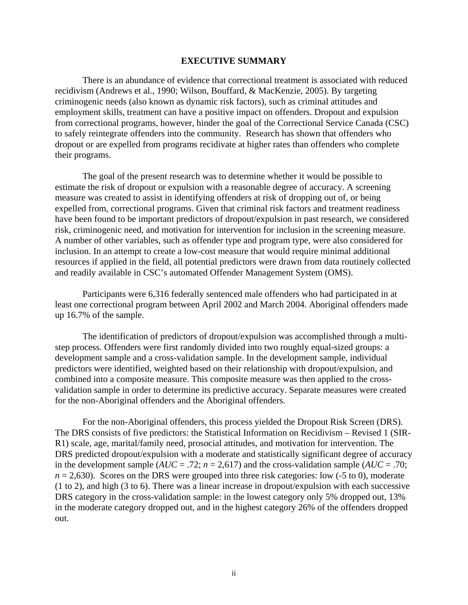#### **EXECUTIVE SUMMARY**

There is an abundance of evidence that correctional treatment is associated with reduced recidivism (Andrews et al., 1990; Wilson, Bouffard, & MacKenzie, 2005). By targeting criminogenic needs (also known as dynamic risk factors), such as criminal attitudes and employment skills, treatment can have a positive impact on offenders. Dropout and expulsion from correctional programs, however, hinder the goal of the Correctional Service Canada (CSC) to safely reintegrate offenders into the community. Research has shown that offenders who dropout or are expelled from programs recidivate at higher rates than offenders who complete their programs.

The goal of the present research was to determine whether it would be possible to estimate the risk of dropout or expulsion with a reasonable degree of accuracy. A screening measure was created to assist in identifying offenders at risk of dropping out of, or being expelled from, correctional programs. Given that criminal risk factors and treatment readiness have been found to be important predictors of dropout/expulsion in past research, we considered risk, criminogenic need, and motivation for intervention for inclusion in the screening measure. A number of other variables, such as offender type and program type, were also considered for inclusion. In an attempt to create a low-cost measure that would require minimal additional resources if applied in the field, all potential predictors were drawn from data routinely collected and readily available in CSC's automated Offender Management System (OMS).

Participants were 6,316 federally sentenced male offenders who had participated in at least one correctional program between April 2002 and March 2004. Aboriginal offenders made up 16.7% of the sample.

The identification of predictors of dropout/expulsion was accomplished through a multistep process. Offenders were first randomly divided into two roughly equal-sized groups: a development sample and a cross-validation sample. In the development sample, individual predictors were identified, weighted based on their relationship with dropout/expulsion, and combined into a composite measure. This composite measure was then applied to the crossvalidation sample in order to determine its predictive accuracy. Separate measures were created for the non-Aboriginal offenders and the Aboriginal offenders.

For the non-Aboriginal offenders, this process yielded the Dropout Risk Screen (DRS). The DRS consists of five predictors: the Statistical Information on Recidivism – Revised 1 (SIR-R1) scale, age, marital/family need, prosocial attitudes, and motivation for intervention. The DRS predicted dropout/expulsion with a moderate and statistically significant degree of accuracy in the development sample ( $AUC = .72$ ;  $n = 2,617$ ) and the cross-validation sample ( $AUC = .70$ ;  $n = 2,630$ ). Scores on the DRS were grouped into three risk categories: low  $(-5 \text{ to } 0)$ , moderate (1 to 2), and high (3 to 6). There was a linear increase in dropout/expulsion with each successive DRS category in the cross-validation sample: in the lowest category only 5% dropped out, 13% in the moderate category dropped out, and in the highest category 26% of the offenders dropped out.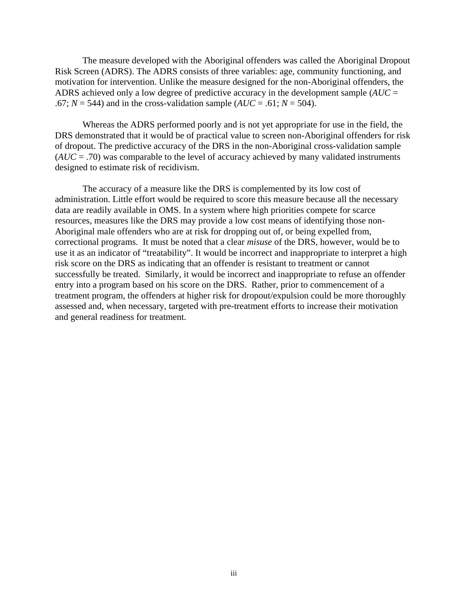The measure developed with the Aboriginal offenders was called the Aboriginal Dropout Risk Screen (ADRS). The ADRS consists of three variables: age, community functioning, and motivation for intervention. Unlike the measure designed for the non-Aboriginal offenders, the ADRS achieved only a low degree of predictive accuracy in the development sample (*AUC* =  $.67; N = 544$ ) and in the cross-validation sample ( $AUC = .61; N = 504$ ).

Whereas the ADRS performed poorly and is not yet appropriate for use in the field, the DRS demonstrated that it would be of practical value to screen non-Aboriginal offenders for risk of dropout. The predictive accuracy of the DRS in the non-Aboriginal cross-validation sample (*AUC* = .70) was comparable to the level of accuracy achieved by many validated instruments designed to estimate risk of recidivism.

The accuracy of a measure like the DRS is complemented by its low cost of administration. Little effort would be required to score this measure because all the necessary data are readily available in OMS. In a system where high priorities compete for scarce resources, measures like the DRS may provide a low cost means of identifying those non-Aboriginal male offenders who are at risk for dropping out of, or being expelled from, correctional programs. It must be noted that a clear *misuse* of the DRS, however, would be to use it as an indicator of "treatability". It would be incorrect and inappropriate to interpret a high risk score on the DRS as indicating that an offender is resistant to treatment or cannot successfully be treated. Similarly, it would be incorrect and inappropriate to refuse an offender entry into a program based on his score on the DRS. Rather, prior to commencement of a treatment program, the offenders at higher risk for dropout/expulsion could be more thoroughly assessed and, when necessary, targeted with pre-treatment efforts to increase their motivation and general readiness for treatment.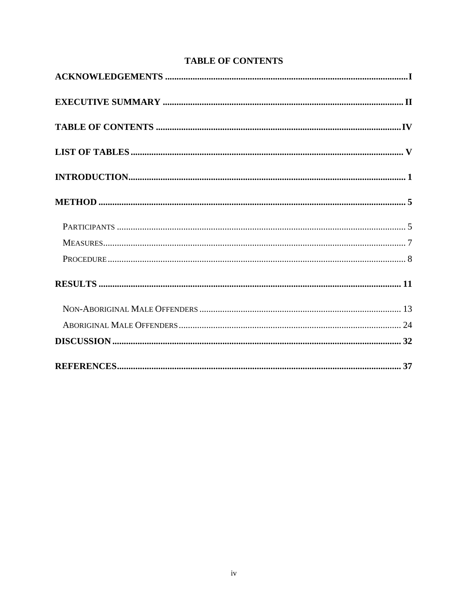# **TABLE OF CONTENTS**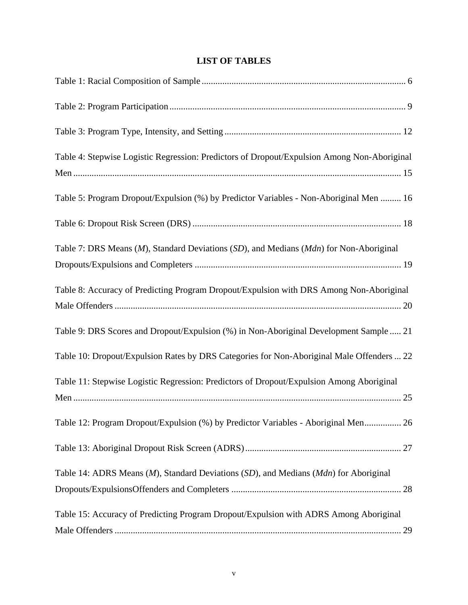# **LIST OF TABLES**

| Table 4: Stepwise Logistic Regression: Predictors of Dropout/Expulsion Among Non-Aboriginal |  |
|---------------------------------------------------------------------------------------------|--|
| Table 5: Program Dropout/Expulsion (%) by Predictor Variables - Non-Aboriginal Men  16      |  |
|                                                                                             |  |
| Table 7: DRS Means (M), Standard Deviations (SD), and Medians (Mdn) for Non-Aboriginal      |  |
| Table 8: Accuracy of Predicting Program Dropout/Expulsion with DRS Among Non-Aboriginal     |  |
| Table 9: DRS Scores and Dropout/Expulsion (%) in Non-Aboriginal Development Sample  21      |  |
| Table 10: Dropout/Expulsion Rates by DRS Categories for Non-Aboriginal Male Offenders  22   |  |
| Table 11: Stepwise Logistic Regression: Predictors of Dropout/Expulsion Among Aboriginal    |  |
| Table 12: Program Dropout/Expulsion (%) by Predictor Variables - Aboriginal Men 26          |  |
|                                                                                             |  |
| Table 14: ADRS Means (M), Standard Deviations (SD), and Medians (Mdn) for Aboriginal        |  |
| Table 15: Accuracy of Predicting Program Dropout/Expulsion with ADRS Among Aboriginal       |  |
|                                                                                             |  |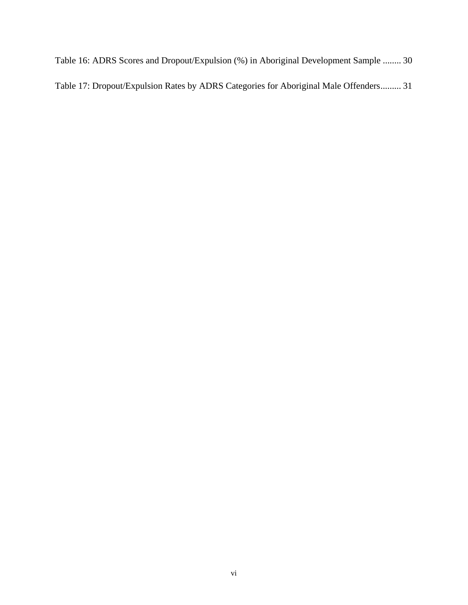Table 16: ADRS Scores and Dropout/Expulsion (%) in Aboriginal Development Sample ........ 30 Table 17: Dropout/Expulsion Rates by ADRS Categories for Aboriginal Male Offenders......... 31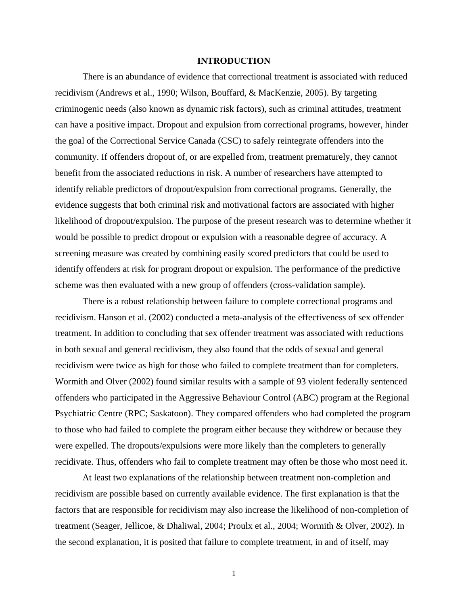#### **INTRODUCTION**

<span id="page-8-0"></span>There is an abundance of evidence that correctional treatment is associated with reduced recidivism (Andrews et al., 1990; Wilson, Bouffard, & MacKenzie, 2005). By targeting criminogenic needs (also known as dynamic risk factors), such as criminal attitudes, treatment can have a positive impact. Dropout and expulsion from correctional programs, however, hinder the goal of the Correctional Service Canada (CSC) to safely reintegrate offenders into the community. If offenders dropout of, or are expelled from, treatment prematurely, they cannot benefit from the associated reductions in risk. A number of researchers have attempted to identify reliable predictors of dropout/expulsion from correctional programs. Generally, the evidence suggests that both criminal risk and motivational factors are associated with higher likelihood of dropout/expulsion. The purpose of the present research was to determine whether it would be possible to predict dropout or expulsion with a reasonable degree of accuracy. A screening measure was created by combining easily scored predictors that could be used to identify offenders at risk for program dropout or expulsion. The performance of the predictive scheme was then evaluated with a new group of offenders (cross-validation sample).

There is a robust relationship between failure to complete correctional programs and recidivism. Hanson et al. (2002) conducted a meta-analysis of the effectiveness of sex offender treatment. In addition to concluding that sex offender treatment was associated with reductions in both sexual and general recidivism, they also found that the odds of sexual and general recidivism were twice as high for those who failed to complete treatment than for completers. Wormith and Olver (2002) found similar results with a sample of 93 violent federally sentenced offenders who participated in the Aggressive Behaviour Control (ABC) program at the Regional Psychiatric Centre (RPC; Saskatoon). They compared offenders who had completed the program to those who had failed to complete the program either because they withdrew or because they were expelled. The dropouts/expulsions were more likely than the completers to generally recidivate. Thus, offenders who fail to complete treatment may often be those who most need it.

At least two explanations of the relationship between treatment non-completion and recidivism are possible based on currently available evidence. The first explanation is that the factors that are responsible for recidivism may also increase the likelihood of non-completion of treatment (Seager, Jellicoe, & Dhaliwal, 2004; Proulx et al., 2004; Wormith & Olver, 2002). In the second explanation, it is posited that failure to complete treatment, in and of itself, may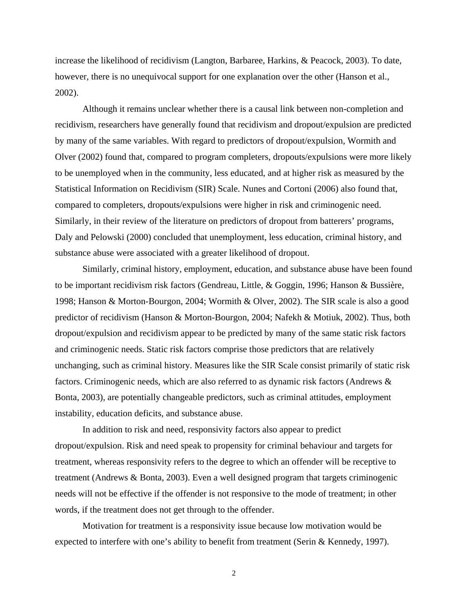increase the likelihood of recidivism (Langton, Barbaree, Harkins, & Peacock, 2003). To date, however, there is no unequivocal support for one explanation over the other (Hanson et al., 2002).

Although it remains unclear whether there is a causal link between non-completion and recidivism, researchers have generally found that recidivism and dropout/expulsion are predicted by many of the same variables. With regard to predictors of dropout/expulsion, Wormith and Olver (2002) found that, compared to program completers, dropouts/expulsions were more likely to be unemployed when in the community, less educated, and at higher risk as measured by the Statistical Information on Recidivism (SIR) Scale. Nunes and Cortoni (2006) also found that, compared to completers, dropouts/expulsions were higher in risk and criminogenic need. Similarly, in their review of the literature on predictors of dropout from batterers' programs, Daly and Pelowski (2000) concluded that unemployment, less education, criminal history, and substance abuse were associated with a greater likelihood of dropout.

Similarly, criminal history, employment, education, and substance abuse have been found to be important recidivism risk factors (Gendreau, Little, & Goggin, 1996; Hanson & Bussière, 1998; Hanson & Morton-Bourgon, 2004; Wormith & Olver, 2002). The SIR scale is also a good predictor of recidivism (Hanson & Morton-Bourgon, 2004; Nafekh & Motiuk, 2002). Thus, both dropout/expulsion and recidivism appear to be predicted by many of the same static risk factors and criminogenic needs. Static risk factors comprise those predictors that are relatively unchanging, such as criminal history. Measures like the SIR Scale consist primarily of static risk factors. Criminogenic needs, which are also referred to as dynamic risk factors (Andrews & Bonta, 2003), are potentially changeable predictors, such as criminal attitudes, employment instability, education deficits, and substance abuse.

In addition to risk and need, responsivity factors also appear to predict dropout/expulsion. Risk and need speak to propensity for criminal behaviour and targets for treatment, whereas responsivity refers to the degree to which an offender will be receptive to treatment (Andrews & Bonta, 2003). Even a well designed program that targets criminogenic needs will not be effective if the offender is not responsive to the mode of treatment; in other words, if the treatment does not get through to the offender.

Motivation for treatment is a responsivity issue because low motivation would be expected to interfere with one's ability to benefit from treatment (Serin & Kennedy, 1997).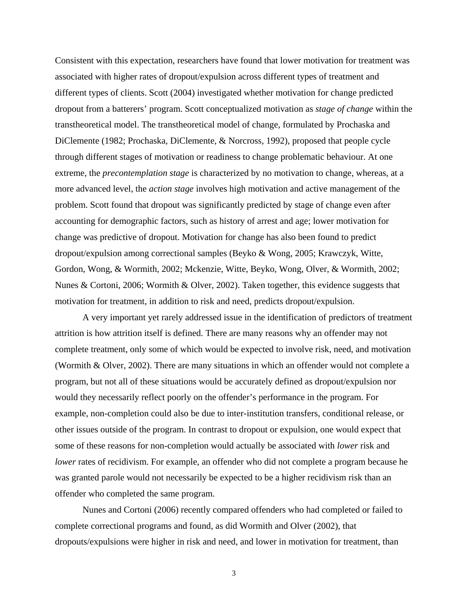Consistent with this expectation, researchers have found that lower motivation for treatment was associated with higher rates of dropout/expulsion across different types of treatment and different types of clients. Scott (2004) investigated whether motivation for change predicted dropout from a batterers' program. Scott conceptualized motivation as *stage of change* within the transtheoretical model. The transtheoretical model of change, formulated by Prochaska and DiClemente (1982; Prochaska, DiClemente, & Norcross, 1992), proposed that people cycle through different stages of motivation or readiness to change problematic behaviour. At one extreme, the *precontemplation stage* is characterized by no motivation to change, whereas, at a more advanced level, the *action stage* involves high motivation and active management of the problem. Scott found that dropout was significantly predicted by stage of change even after accounting for demographic factors, such as history of arrest and age; lower motivation for change was predictive of dropout. Motivation for change has also been found to predict dropout/expulsion among correctional samples (Beyko & Wong, 2005; Krawczyk, Witte, Gordon, Wong, & Wormith, 2002; Mckenzie, Witte, Beyko, Wong, Olver, & Wormith, 2002; Nunes & Cortoni, 2006; Wormith & Olver, 2002). Taken together, this evidence suggests that motivation for treatment, in addition to risk and need, predicts dropout/expulsion.

A very important yet rarely addressed issue in the identification of predictors of treatment attrition is how attrition itself is defined. There are many reasons why an offender may not complete treatment, only some of which would be expected to involve risk, need, and motivation (Wormith & Olver, 2002). There are many situations in which an offender would not complete a program, but not all of these situations would be accurately defined as dropout/expulsion nor would they necessarily reflect poorly on the offender's performance in the program. For example, non-completion could also be due to inter-institution transfers, conditional release, or other issues outside of the program. In contrast to dropout or expulsion, one would expect that some of these reasons for non-completion would actually be associated with *lower* risk and *lower* rates of recidivism. For example, an offender who did not complete a program because he was granted parole would not necessarily be expected to be a higher recidivism risk than an offender who completed the same program.

Nunes and Cortoni (2006) recently compared offenders who had completed or failed to complete correctional programs and found, as did Wormith and Olver (2002), that dropouts/expulsions were higher in risk and need, and lower in motivation for treatment, than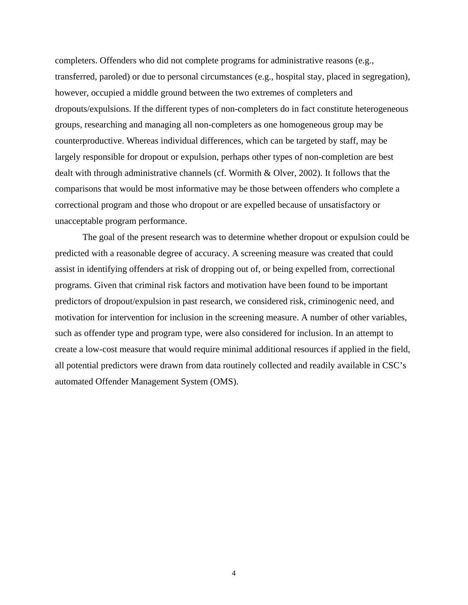completers. Offenders who did not complete programs for administrative reasons (e.g., transferred, paroled) or due to personal circumstances (e.g., hospital stay, placed in segregation), however, occupied a middle ground between the two extremes of completers and dropouts/expulsions. If the different types of non-completers do in fact constitute heterogeneous groups, researching and managing all non-completers as one homogeneous group may be counterproductive. Whereas individual differences, which can be targeted by staff, may be largely responsible for dropout or expulsion, perhaps other types of non-completion are best dealt with through administrative channels (cf. Wormith & Olver, 2002). It follows that the comparisons that would be most informative may be those between offenders who complete a correctional program and those who dropout or are expelled because of unsatisfactory or unacceptable program performance.

The goal of the present research was to determine whether dropout or expulsion could be predicted with a reasonable degree of accuracy. A screening measure was created that could assist in identifying offenders at risk of dropping out of, or being expelled from, correctional programs. Given that criminal risk factors and motivation have been found to be important predictors of dropout/expulsion in past research, we considered risk, criminogenic need, and motivation for intervention for inclusion in the screening measure. A number of other variables, such as offender type and program type, were also considered for inclusion. In an attempt to create a low-cost measure that would require minimal additional resources if applied in the field, all potential predictors were drawn from data routinely collected and readily available in CSC's automated Offender Management System (OMS).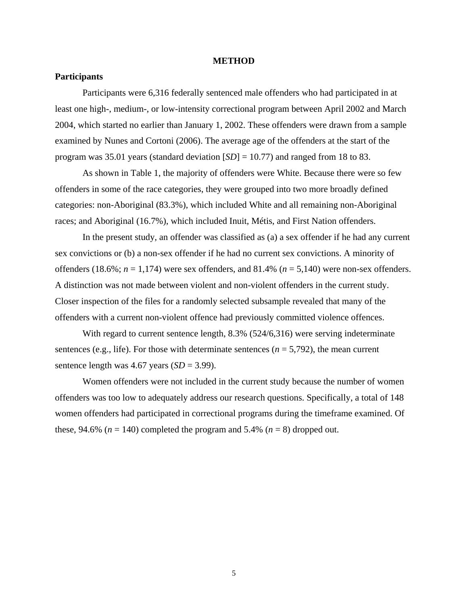#### **METHOD**

#### <span id="page-12-0"></span>**Participants**

Participants were 6,316 federally sentenced male offenders who had participated in at least one high-, medium-, or low-intensity correctional program between April 2002 and March 2004, which started no earlier than January 1, 2002. These offenders were drawn from a sample examined by Nunes and Cortoni (2006). The average age of the offenders at the start of the program was 35.01 years (standard deviation [*SD*] = 10.77) and ranged from 18 to 83.

As shown in Table 1, the majority of offenders were White. Because there were so few offenders in some of the race categories, they were grouped into two more broadly defined categories: non-Aboriginal (83.3%), which included White and all remaining non-Aboriginal races; and Aboriginal (16.7%), which included Inuit, Métis, and First Nation offenders.

In the present study, an offender was classified as (a) a sex offender if he had any current sex convictions or (b) a non-sex offender if he had no current sex convictions. A minority of offenders (18.6%;  $n = 1,174$ ) were sex offenders, and 81.4% ( $n = 5,140$ ) were non-sex offenders. A distinction was not made between violent and non-violent offenders in the current study. Closer inspection of the files for a randomly selected subsample revealed that many of the offenders with a current non-violent offence had previously committed violence offences.

With regard to current sentence length, 8.3% (524/6,316) were serving indeterminate sentences (e.g., life). For those with determinate sentences  $(n = 5.792)$ , the mean current sentence length was  $4.67$  years  $(SD = 3.99)$ .

Women offenders were not included in the current study because the number of women offenders was too low to adequately address our research questions. Specifically, a total of 148 women offenders had participated in correctional programs during the timeframe examined. Of these, 94.6% ( $n = 140$ ) completed the program and 5.4% ( $n = 8$ ) dropped out.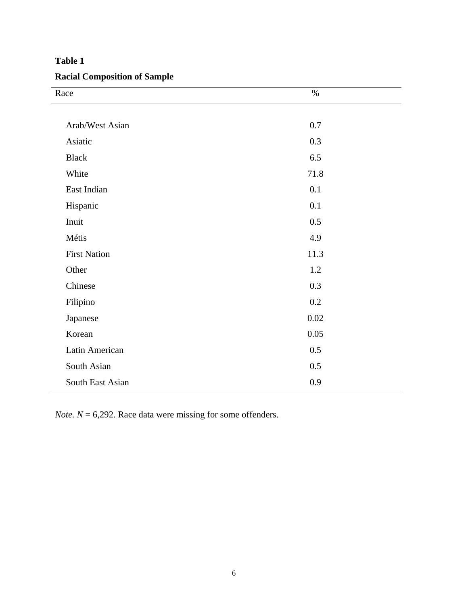# **Racial Composition of Sample**

| Race                | $\%$ |
|---------------------|------|
|                     |      |
| Arab/West Asian     | 0.7  |
| Asiatic             | 0.3  |
| <b>Black</b>        | 6.5  |
| White               | 71.8 |
| East Indian         | 0.1  |
| Hispanic            | 0.1  |
| Inuit               | 0.5  |
| Métis               | 4.9  |
| <b>First Nation</b> | 11.3 |
| Other               | 1.2  |
| Chinese             | 0.3  |
| Filipino            | 0.2  |
| Japanese            | 0.02 |
| Korean              | 0.05 |
| Latin American      | 0.5  |
| South Asian         | 0.5  |
| South East Asian    | 0.9  |
|                     |      |

*Note.*  $N = 6,292$ . Race data were missing for some offenders.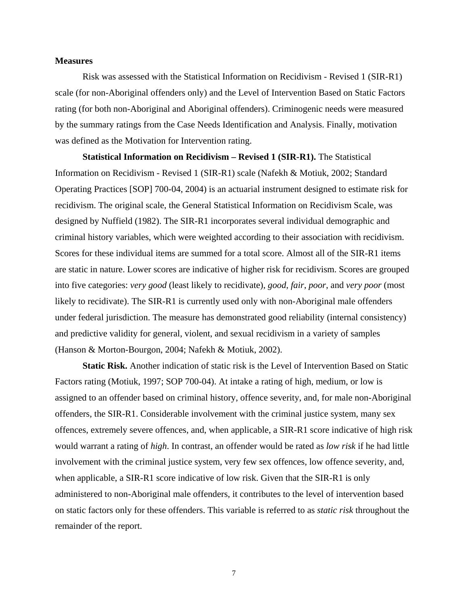#### **Measures**

Risk was assessed with the Statistical Information on Recidivism - Revised 1 (SIR-R1) scale (for non-Aboriginal offenders only) and the Level of Intervention Based on Static Factors rating (for both non-Aboriginal and Aboriginal offenders). Criminogenic needs were measured by the summary ratings from the Case Needs Identification and Analysis. Finally, motivation was defined as the Motivation for Intervention rating.

**Statistical Information on Recidivism – Revised 1 (SIR-R1).** The Statistical Information on Recidivism - Revised 1 (SIR-R1) scale (Nafekh & Motiuk, 2002; Standard Operating Practices [SOP] 700-04, 2004) is an actuarial instrument designed to estimate risk for recidivism. The original scale, the General Statistical Information on Recidivism Scale, was designed by Nuffield (1982). The SIR-R1 incorporates several individual demographic and criminal history variables, which were weighted according to their association with recidivism. Scores for these individual items are summed for a total score. Almost all of the SIR-R1 items are static in nature. Lower scores are indicative of higher risk for recidivism. Scores are grouped into five categories: *very good* (least likely to recidivate), *good*, *fair*, *poor*, and *very poor* (most likely to recidivate). The SIR-R1 is currently used only with non-Aboriginal male offenders under federal jurisdiction. The measure has demonstrated good reliability (internal consistency) and predictive validity for general, violent, and sexual recidivism in a variety of samples (Hanson & Morton-Bourgon, 2004; Nafekh & Motiuk, 2002).

**Static Risk.** Another indication of static risk is the Level of Intervention Based on Static Factors rating (Motiuk, 1997; SOP 700-04). At intake a rating of high, medium, or low is assigned to an offender based on criminal history, offence severity, and, for male non-Aboriginal offenders, the SIR-R1. Considerable involvement with the criminal justice system, many sex offences, extremely severe offences, and, when applicable, a SIR-R1 score indicative of high risk would warrant a rating of *high*. In contrast, an offender would be rated as *low risk* if he had little involvement with the criminal justice system, very few sex offences, low offence severity, and, when applicable, a SIR-R1 score indicative of low risk. Given that the SIR-R1 is only administered to non-Aboriginal male offenders, it contributes to the level of intervention based on static factors only for these offenders. This variable is referred to as *static risk* throughout the remainder of the report.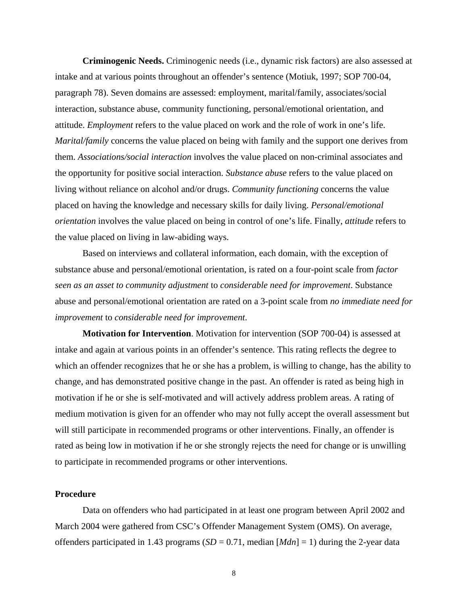**Criminogenic Needs.** Criminogenic needs (i.e., dynamic risk factors) are also assessed at intake and at various points throughout an offender's sentence (Motiuk, 1997; SOP 700-04, paragraph 78). Seven domains are assessed: employment, marital/family, associates/social interaction, substance abuse, community functioning, personal/emotional orientation, and attitude. *Employment* refers to the value placed on work and the role of work in one's life. *Marital/family* concerns the value placed on being with family and the support one derives from them. *Associations/social interaction* involves the value placed on non-criminal associates and the opportunity for positive social interaction. *Substance abuse* refers to the value placed on living without reliance on alcohol and/or drugs. *Community functioning* concerns the value placed on having the knowledge and necessary skills for daily living. *Personal/emotional orientation* involves the value placed on being in control of one's life. Finally, *attitude* refers to the value placed on living in law-abiding ways.

Based on interviews and collateral information, each domain, with the exception of substance abuse and personal/emotional orientation, is rated on a four-point scale from *factor seen as an asset to community adjustment* to *considerable need for improvement*. Substance abuse and personal/emotional orientation are rated on a 3-point scale from *no immediate need for improvement* to *considerable need for improvement*.

**Motivation for Intervention**. Motivation for intervention (SOP 700-04) is assessed at intake and again at various points in an offender's sentence. This rating reflects the degree to which an offender recognizes that he or she has a problem, is willing to change, has the ability to change, and has demonstrated positive change in the past. An offender is rated as being high in motivation if he or she is self-motivated and will actively address problem areas. A rating of medium motivation is given for an offender who may not fully accept the overall assessment but will still participate in recommended programs or other interventions. Finally, an offender is rated as being low in motivation if he or she strongly rejects the need for change or is unwilling to participate in recommended programs or other interventions.

### **Procedure**

Data on offenders who had participated in at least one program between April 2002 and March 2004 were gathered from CSC's Offender Management System (OMS). On average, offenders participated in 1.43 programs  $(SD = 0.71$ , median  $[Mdn] = 1$ ) during the 2-year data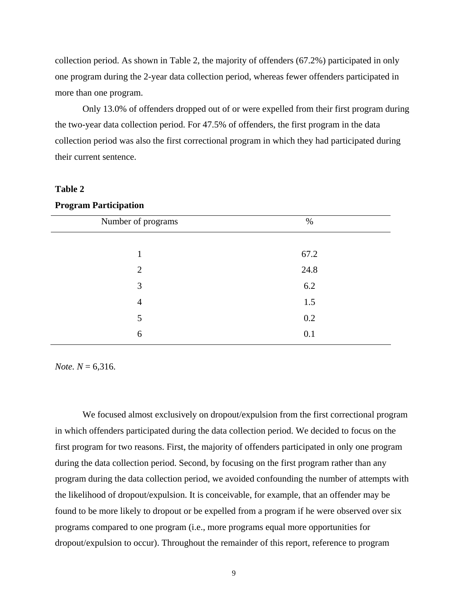collection period. As shown in Table 2, the majority of offenders (67.2%) participated in only one program during the 2-year data collection period, whereas fewer offenders participated in more than one program.

Only 13.0% of offenders dropped out of or were expelled from their first program during the two-year data collection period. For 47.5% of offenders, the first program in the data collection period was also the first correctional program in which they had participated during their current sentence.

### **Table 2**

#### **Program Participation**

| Number of programs | $\%$ |
|--------------------|------|
|                    |      |
| 1                  | 67.2 |
| $\overline{2}$     | 24.8 |
| 3                  | 6.2  |
| $\overline{4}$     | 1.5  |
| 5                  | 0.2  |
| 6                  | 0.1  |
|                    |      |

*Note. N* = 6,316.

We focused almost exclusively on dropout/expulsion from the first correctional program in which offenders participated during the data collection period. We decided to focus on the first program for two reasons. First, the majority of offenders participated in only one program during the data collection period. Second, by focusing on the first program rather than any program during the data collection period, we avoided confounding the number of attempts with the likelihood of dropout/expulsion. It is conceivable, for example, that an offender may be found to be more likely to dropout or be expelled from a program if he were observed over six programs compared to one program (i.e., more programs equal more opportunities for dropout/expulsion to occur). Throughout the remainder of this report, reference to program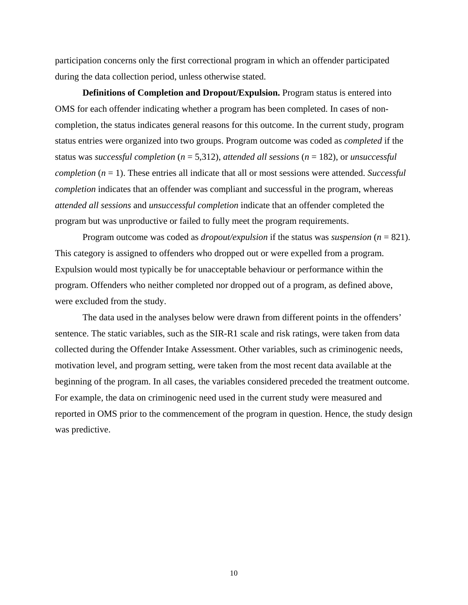participation concerns only the first correctional program in which an offender participated during the data collection period, unless otherwise stated.

**Definitions of Completion and Dropout/Expulsion.** Program status is entered into OMS for each offender indicating whether a program has been completed. In cases of noncompletion, the status indicates general reasons for this outcome. In the current study, program status entries were organized into two groups. Program outcome was coded as *completed* if the status was *successful completion* (*n* = 5,312), *attended all sessions* (*n* = 182), or *unsuccessful completion* (*n* = 1). These entries all indicate that all or most sessions were attended. *Successful completion* indicates that an offender was compliant and successful in the program, whereas *attended all sessions* and *unsuccessful completion* indicate that an offender completed the program but was unproductive or failed to fully meet the program requirements.

Program outcome was coded as *dropout/expulsion* if the status was *suspension* (*n* = 821). This category is assigned to offenders who dropped out or were expelled from a program. Expulsion would most typically be for unacceptable behaviour or performance within the program. Offenders who neither completed nor dropped out of a program, as defined above, were excluded from the study.

The data used in the analyses below were drawn from different points in the offenders' sentence. The static variables, such as the SIR-R1 scale and risk ratings, were taken from data collected during the Offender Intake Assessment. Other variables, such as criminogenic needs, motivation level, and program setting, were taken from the most recent data available at the beginning of the program. In all cases, the variables considered preceded the treatment outcome. For example, the data on criminogenic need used in the current study were measured and reported in OMS prior to the commencement of the program in question. Hence, the study design was predictive.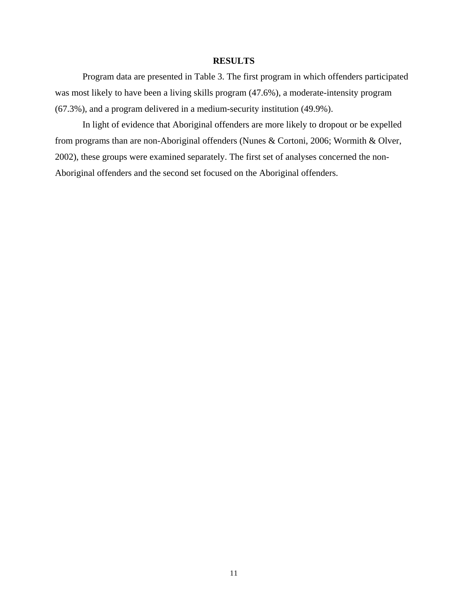### **RESULTS**

<span id="page-18-0"></span>Program data are presented in Table 3. The first program in which offenders participated was most likely to have been a living skills program (47.6%), a moderate-intensity program (67.3%), and a program delivered in a medium-security institution (49.9%).

 In light of evidence that Aboriginal offenders are more likely to dropout or be expelled from programs than are non-Aboriginal offenders (Nunes & Cortoni, 2006; Wormith & Olver, 2002), these groups were examined separately. The first set of analyses concerned the non-Aboriginal offenders and the second set focused on the Aboriginal offenders.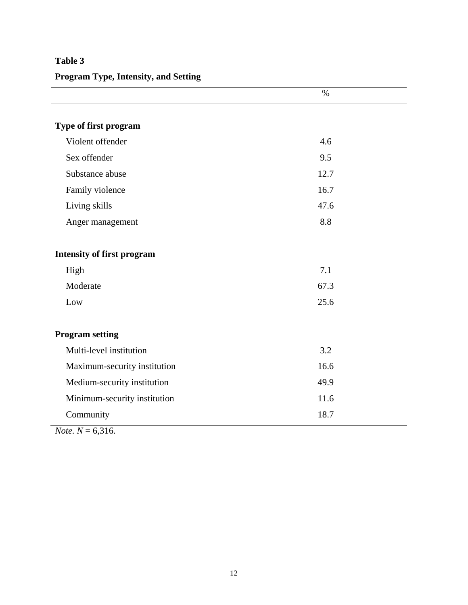# **Program Type, Intensity, and Setting**

|                                   | $\%$ |
|-----------------------------------|------|
|                                   |      |
| Type of first program             |      |
| Violent offender                  | 4.6  |
| Sex offender                      | 9.5  |
| Substance abuse                   | 12.7 |
| Family violence                   | 16.7 |
| Living skills                     | 47.6 |
| Anger management                  | 8.8  |
|                                   |      |
| <b>Intensity of first program</b> |      |
| High                              | 7.1  |
| Moderate                          | 67.3 |
| Low                               | 25.6 |
|                                   |      |
| <b>Program setting</b>            |      |
| Multi-level institution           | 3.2  |
| Maximum-security institution      | 16.6 |
| Medium-security institution       | 49.9 |
| Minimum-security institution      | 11.6 |
| Community                         | 18.7 |

*Note.*  $N = 6,316$ .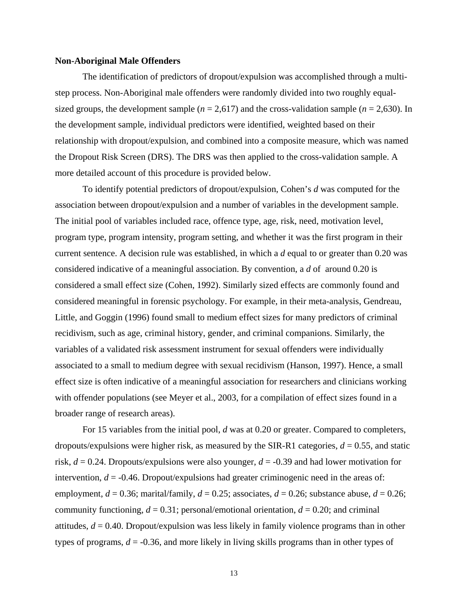#### **Non-Aboriginal Male Offenders**

The identification of predictors of dropout/expulsion was accomplished through a multistep process. Non-Aboriginal male offenders were randomly divided into two roughly equalsized groups, the development sample ( $n = 2,617$ ) and the cross-validation sample ( $n = 2,630$ ). In the development sample, individual predictors were identified, weighted based on their relationship with dropout/expulsion, and combined into a composite measure, which was named the Dropout Risk Screen (DRS). The DRS was then applied to the cross-validation sample. A more detailed account of this procedure is provided below.

To identify potential predictors of dropout/expulsion, Cohen's *d* was computed for the association between dropout/expulsion and a number of variables in the development sample. The initial pool of variables included race, offence type, age, risk, need, motivation level, program type, program intensity, program setting, and whether it was the first program in their current sentence. A decision rule was established, in which a *d* equal to or greater than 0.20 was considered indicative of a meaningful association. By convention, a *d* of around 0.20 is considered a small effect size (Cohen, 1992). Similarly sized effects are commonly found and considered meaningful in forensic psychology. For example, in their meta-analysis, Gendreau, Little, and Goggin (1996) found small to medium effect sizes for many predictors of criminal recidivism, such as age, criminal history, gender, and criminal companions. Similarly, the variables of a validated risk assessment instrument for sexual offenders were individually associated to a small to medium degree with sexual recidivism (Hanson, 1997). Hence, a small effect size is often indicative of a meaningful association for researchers and clinicians working with offender populations (see Meyer et al., 2003, for a compilation of effect sizes found in a broader range of research areas).

For 15 variables from the initial pool, *d* was at 0.20 or greater. Compared to completers, dropouts/expulsions were higher risk, as measured by the SIR-R1 categories,  $d = 0.55$ , and static risk, *d* = 0.24. Dropouts/expulsions were also younger, *d* = -0.39 and had lower motivation for intervention,  $d = -0.46$ . Dropout/expulsions had greater criminogenic need in the areas of: employment,  $d = 0.36$ ; marital/family,  $d = 0.25$ ; associates,  $d = 0.26$ ; substance abuse,  $d = 0.26$ ; community functioning,  $d = 0.31$ ; personal/emotional orientation,  $d = 0.20$ ; and criminal attitudes, *d* = 0.40. Dropout/expulsion was less likely in family violence programs than in other types of programs, *d* = -0.36, and more likely in living skills programs than in other types of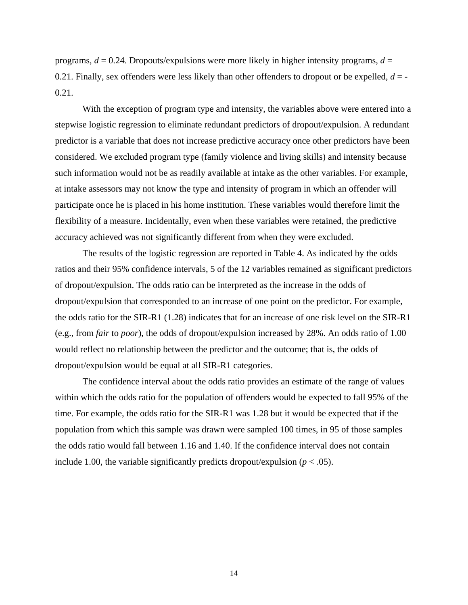programs,  $d = 0.24$ . Dropouts/expulsions were more likely in higher intensity programs,  $d =$ 0.21. Finally, sex offenders were less likely than other offenders to dropout or be expelled, *d* = - 0.21.

With the exception of program type and intensity, the variables above were entered into a stepwise logistic regression to eliminate redundant predictors of dropout/expulsion. A redundant predictor is a variable that does not increase predictive accuracy once other predictors have been considered. We excluded program type (family violence and living skills) and intensity because such information would not be as readily available at intake as the other variables. For example, at intake assessors may not know the type and intensity of program in which an offender will participate once he is placed in his home institution. These variables would therefore limit the flexibility of a measure. Incidentally, even when these variables were retained, the predictive accuracy achieved was not significantly different from when they were excluded.

The results of the logistic regression are reported in Table 4. As indicated by the odds ratios and their 95% confidence intervals, 5 of the 12 variables remained as significant predictors of dropout/expulsion. The odds ratio can be interpreted as the increase in the odds of dropout/expulsion that corresponded to an increase of one point on the predictor. For example, the odds ratio for the SIR-R1 (1.28) indicates that for an increase of one risk level on the SIR-R1 (e.g., from *fair* to *poor*), the odds of dropout/expulsion increased by 28%. An odds ratio of 1.00 would reflect no relationship between the predictor and the outcome; that is, the odds of dropout/expulsion would be equal at all SIR-R1 categories.

The confidence interval about the odds ratio provides an estimate of the range of values within which the odds ratio for the population of offenders would be expected to fall 95% of the time. For example, the odds ratio for the SIR-R1 was 1.28 but it would be expected that if the population from which this sample was drawn were sampled 100 times, in 95 of those samples the odds ratio would fall between 1.16 and 1.40. If the confidence interval does not contain include 1.00, the variable significantly predicts dropout/expulsion  $(p < .05)$ .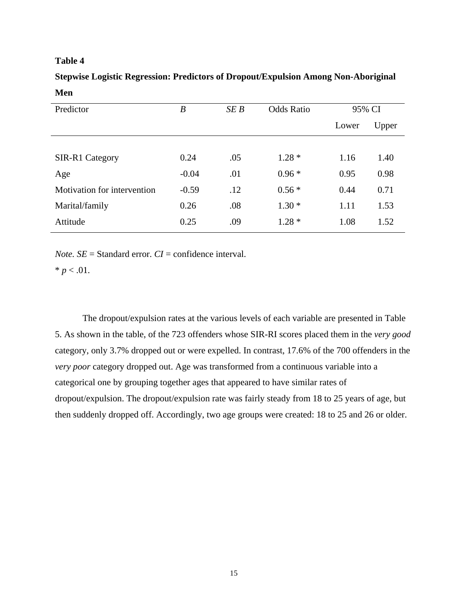# **Stepwise Logistic Regression: Predictors of Dropout/Expulsion Among Non-Aboriginal Men**

| Predictor                   | $\boldsymbol{B}$ | SEB | <b>Odds Ratio</b> | 95% CI |       |
|-----------------------------|------------------|-----|-------------------|--------|-------|
|                             |                  |     |                   | Lower  | Upper |
|                             |                  |     |                   |        |       |
| SIR-R1 Category             | 0.24             | .05 | $1.28*$           | 1.16   | 1.40  |
| Age                         | $-0.04$          | .01 | $0.96*$           | 0.95   | 0.98  |
| Motivation for intervention | $-0.59$          | .12 | $0.56*$           | 0.44   | 0.71  |
| Marital/family              | 0.26             | .08 | $1.30*$           | 1.11   | 1.53  |
| Attitude                    | 0.25             | .09 | $1.28*$           | 1.08   | 1.52  |

*Note.*  $SE =$  Standard error.  $CI =$  confidence interval.

 $* p < .01.$ 

The dropout/expulsion rates at the various levels of each variable are presented in Table 5. As shown in the table, of the 723 offenders whose SIR-RI scores placed them in the *very good* category, only 3.7% dropped out or were expelled. In contrast, 17.6% of the 700 offenders in the *very poor* category dropped out. Age was transformed from a continuous variable into a categorical one by grouping together ages that appeared to have similar rates of dropout/expulsion. The dropout/expulsion rate was fairly steady from 18 to 25 years of age, but then suddenly dropped off. Accordingly, two age groups were created: 18 to 25 and 26 or older.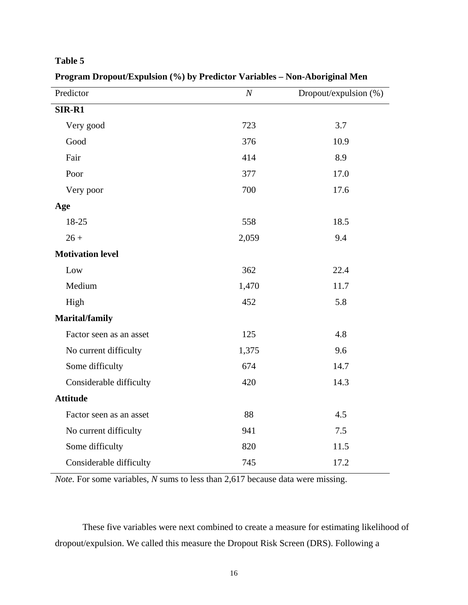## **Program Dropout/Expulsion (%) by Predictor Variables – Non-Aboriginal Men**

| Predictor               | $\boldsymbol{N}$ | Dropout/expulsion (%) |
|-------------------------|------------------|-----------------------|
| SIR-R1                  |                  |                       |
| Very good               | 723              | 3.7                   |
| Good                    | 376              | 10.9                  |
| Fair                    | 414              | 8.9                   |
| Poor                    | 377              | 17.0                  |
| Very poor               | 700              | 17.6                  |
| Age                     |                  |                       |
| 18-25                   | 558              | 18.5                  |
| $26 +$                  | 2,059            | 9.4                   |
| <b>Motivation level</b> |                  |                       |
| Low                     | 362              | 22.4                  |
| Medium                  | 1,470            | 11.7                  |
| High                    | 452              | 5.8                   |
| Marital/family          |                  |                       |
| Factor seen as an asset | 125              | 4.8                   |
| No current difficulty   | 1,375            | 9.6                   |
| Some difficulty         | 674              | 14.7                  |
| Considerable difficulty | 420              | 14.3                  |
| <b>Attitude</b>         |                  |                       |
| Factor seen as an asset | 88               | 4.5                   |
| No current difficulty   | 941              | 7.5                   |
| Some difficulty         | 820              | 11.5                  |
| Considerable difficulty | 745              | 17.2                  |

*Note.* For some variables, *N* sums to less than 2,617 because data were missing.

These five variables were next combined to create a measure for estimating likelihood of dropout/expulsion. We called this measure the Dropout Risk Screen (DRS). Following a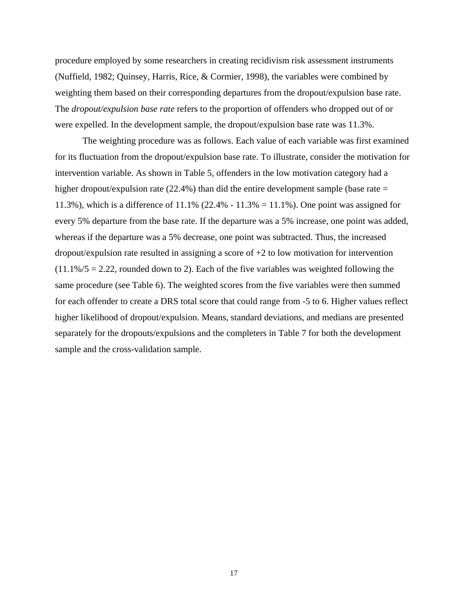procedure employed by some researchers in creating recidivism risk assessment instruments (Nuffield, 1982; Quinsey, Harris, Rice, & Cormier, 1998), the variables were combined by weighting them based on their corresponding departures from the dropout/expulsion base rate. The *dropout/expulsion base rate* refers to the proportion of offenders who dropped out of or were expelled. In the development sample, the dropout/expulsion base rate was 11.3%.

The weighting procedure was as follows. Each value of each variable was first examined for its fluctuation from the dropout/expulsion base rate. To illustrate, consider the motivation for intervention variable. As shown in Table 5, offenders in the low motivation category had a higher dropout/expulsion rate (22.4%) than did the entire development sample (base rate = 11.3%), which is a difference of 11.1% (22.4% - 11.3% = 11.1%). One point was assigned for every 5% departure from the base rate. If the departure was a 5% increase, one point was added, whereas if the departure was a 5% decrease, one point was subtracted. Thus, the increased dropout/expulsion rate resulted in assigning a score of +2 to low motivation for intervention  $(11.1\%/5 = 2.22$ , rounded down to 2). Each of the five variables was weighted following the same procedure (see Table 6). The weighted scores from the five variables were then summed for each offender to create a DRS total score that could range from -5 to 6. Higher values reflect higher likelihood of dropout/expulsion. Means, standard deviations, and medians are presented separately for the dropouts/expulsions and the completers in Table 7 for both the development sample and the cross-validation sample.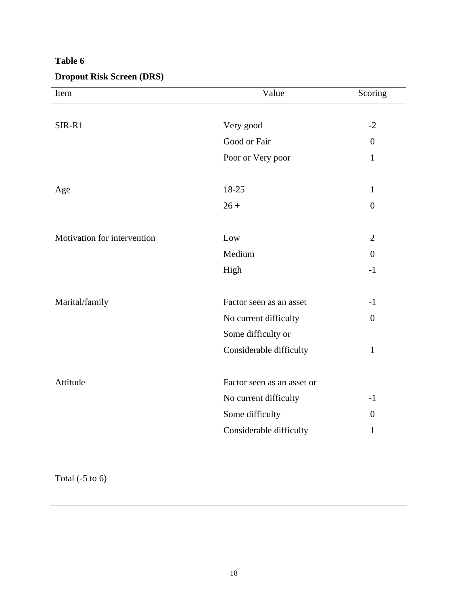# **Dropout Risk Screen (DRS)**

| Item                        | Value                      | Scoring          |
|-----------------------------|----------------------------|------------------|
|                             |                            |                  |
| SIR-R1                      | Very good                  | $-2$             |
|                             | Good or Fair               | $\overline{0}$   |
|                             | Poor or Very poor          | $\mathbf{1}$     |
| Age                         | 18-25                      | $\mathbf{1}$     |
|                             | $26 +$                     | $\overline{0}$   |
|                             |                            |                  |
| Motivation for intervention | Low                        | $\overline{2}$   |
|                             | Medium                     | $\overline{0}$   |
|                             | High                       | $-1$             |
| Marital/family              | Factor seen as an asset    | $-1$             |
|                             | No current difficulty      | $\boldsymbol{0}$ |
|                             | Some difficulty or         |                  |
|                             | Considerable difficulty    | $\mathbf{1}$     |
| Attitude                    | Factor seen as an asset or |                  |
|                             | No current difficulty      | $-1$             |
|                             |                            | $\overline{0}$   |
|                             | Considerable difficulty    | $\mathbf{1}$     |
|                             | Some difficulty            |                  |

Total  $(-5 \text{ to } 6)$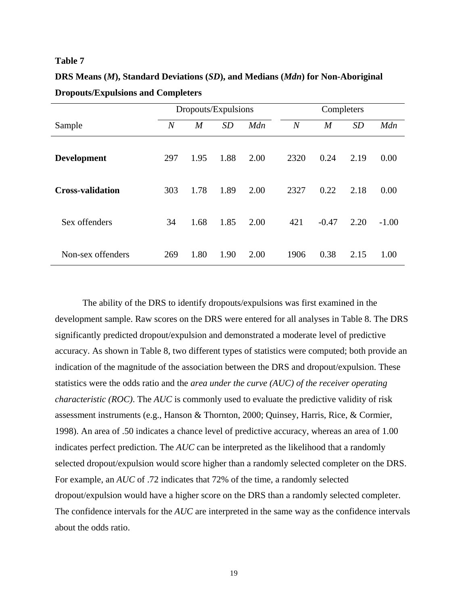**DRS Means (***M***), Standard Deviations (***SD***), and Medians (***Mdn***) for Non-Aboriginal Dropouts/Expulsions and Completers** 

|                         |     | Dropouts/Expulsions |           |      |                |                  |           |         |
|-------------------------|-----|---------------------|-----------|------|----------------|------------------|-----------|---------|
| Sample                  | N   | $\overline{M}$      | <i>SD</i> | Mdn  | $\overline{N}$ | $\boldsymbol{M}$ | <b>SD</b> | Mdn     |
| <b>Development</b>      | 297 | 1.95                | 1.88      | 2.00 | 2320           | 0.24             | 2.19      | 0.00    |
| <b>Cross-validation</b> | 303 | 1.78                | 1.89      | 2.00 | 2327           | 0.22             | 2.18      | 0.00    |
| Sex offenders           | 34  | 1.68                | 1.85      | 2.00 | 421            | $-0.47$          | 2.20      | $-1.00$ |
| Non-sex offenders       | 269 | 1.80                | 1.90      | 2.00 | 1906           | 0.38             | 2.15      | 1.00    |

The ability of the DRS to identify dropouts/expulsions was first examined in the development sample. Raw scores on the DRS were entered for all analyses in Table 8. The DRS significantly predicted dropout/expulsion and demonstrated a moderate level of predictive accuracy. As shown in Table 8, two different types of statistics were computed; both provide an indication of the magnitude of the association between the DRS and dropout/expulsion. These statistics were the odds ratio and the *area under the curve (AUC) of the receiver operating characteristic (ROC)*. The *AUC* is commonly used to evaluate the predictive validity of risk assessment instruments (e.g., Hanson & Thornton, 2000; Quinsey, Harris, Rice, & Cormier, 1998). An area of .50 indicates a chance level of predictive accuracy, whereas an area of 1.00 indicates perfect prediction. The *AUC* can be interpreted as the likelihood that a randomly selected dropout/expulsion would score higher than a randomly selected completer on the DRS. For example, an *AUC* of .72 indicates that 72% of the time, a randomly selected dropout/expulsion would have a higher score on the DRS than a randomly selected completer. The confidence intervals for the *AUC* are interpreted in the same way as the confidence intervals about the odds ratio.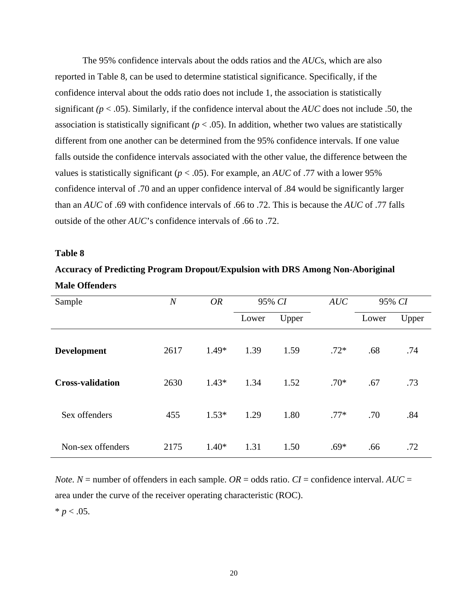The 95% confidence intervals about the odds ratios and the *AUC*s, which are also reported in Table 8, can be used to determine statistical significance. Specifically, if the confidence interval about the odds ratio does not include 1, the association is statistically significant *(p* < .05). Similarly, if the confidence interval about the *AUC* does not include .50, the association is statistically significant  $(p < .05)$ . In addition, whether two values are statistically different from one another can be determined from the 95% confidence intervals. If one value falls outside the confidence intervals associated with the other value, the difference between the values is statistically significant ( $p < .05$ ). For example, an *AUC* of .77 with a lower 95% confidence interval of .70 and an upper confidence interval of .84 would be significantly larger than an *AUC* of .69 with confidence intervals of .66 to .72. This is because the *AUC* of .77 falls outside of the other *AUC*'s confidence intervals of .66 to .72.

#### **Table 8**

# **Accuracy of Predicting Program Dropout/Expulsion with DRS Among Non-Aboriginal Male Offenders**

| Sample                  | $\overline{N}$ | <b>OR</b> | 95% CI |       | AUC    |       | 95% CI |  |
|-------------------------|----------------|-----------|--------|-------|--------|-------|--------|--|
|                         |                |           | Lower  | Upper |        | Lower | Upper  |  |
| <b>Development</b>      | 2617           | $1.49*$   | 1.39   | 1.59  | $.72*$ | .68   | .74    |  |
| <b>Cross-validation</b> | 2630           | $1.43*$   | 1.34   | 1.52  | $.70*$ | .67   | .73    |  |
| Sex offenders           | 455            | $1.53*$   | 1.29   | 1.80  | $.77*$ | .70   | .84    |  |
| Non-sex offenders       | 2175           | $1.40*$   | 1.31   | 1.50  | $.69*$ | .66   | .72    |  |

*Note.*  $N =$  number of offenders in each sample.  $OR =$  odds ratio.  $CI =$  confidence interval.  $AUC =$ area under the curve of the receiver operating characteristic (ROC).

 $* p < .05.$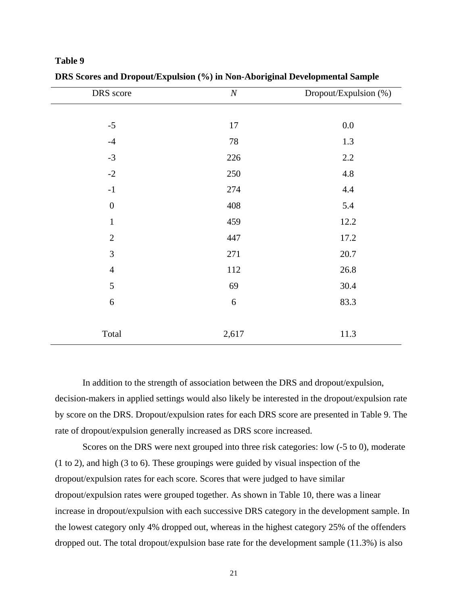| DRS score        | $\cal N$ | Dropout/Expulsion (%) |
|------------------|----------|-----------------------|
|                  |          |                       |
| $-5$             | 17       | $0.0\,$               |
| $-4$             | 78       | 1.3                   |
| $-3$             | 226      | 2.2                   |
| $-2$             | 250      | 4.8                   |
| $-1$             | 274      | 4.4                   |
| $\boldsymbol{0}$ | 408      | 5.4                   |
| $\mathbf{1}$     | 459      | 12.2                  |
| $\mathbf{2}$     | 447      | 17.2                  |
| $\mathfrak{Z}$   | 271      | 20.7                  |
| $\overline{4}$   | 112      | 26.8                  |
| 5                | 69       | 30.4                  |
| 6                | 6        | 83.3                  |
|                  |          |                       |
| Total            | 2,617    | 11.3                  |

**DRS Scores and Dropout/Expulsion (%) in Non-Aboriginal Developmental Sample** 

In addition to the strength of association between the DRS and dropout/expulsion, decision-makers in applied settings would also likely be interested in the dropout/expulsion rate by score on the DRS. Dropout/expulsion rates for each DRS score are presented in Table 9. The rate of dropout/expulsion generally increased as DRS score increased.

Scores on the DRS were next grouped into three risk categories: low (-5 to 0), moderate (1 to 2), and high (3 to 6). These groupings were guided by visual inspection of the dropout/expulsion rates for each score. Scores that were judged to have similar dropout/expulsion rates were grouped together. As shown in Table 10, there was a linear increase in dropout/expulsion with each successive DRS category in the development sample. In the lowest category only 4% dropped out, whereas in the highest category 25% of the offenders dropped out. The total dropout/expulsion base rate for the development sample (11.3%) is also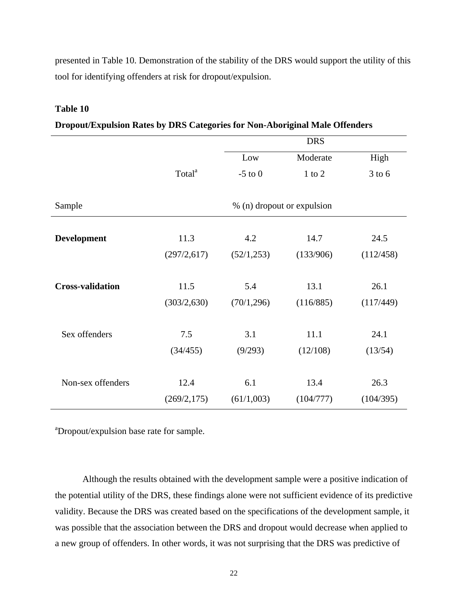presented in Table 10. Demonstration of the stability of the DRS would support the utility of this tool for identifying offenders at risk for dropout/expulsion.

### **Table 10**

| Dropout/Expulsion Rates by DRS Categories for Non-Aboriginal Male Offenders |  |  |  |  |  |  |  |
|-----------------------------------------------------------------------------|--|--|--|--|--|--|--|
|                                                                             |  |  |  |  |  |  |  |

|                         |                    |                            | <b>DRS</b> |            |
|-------------------------|--------------------|----------------------------|------------|------------|
|                         |                    | Low                        | Moderate   | High       |
|                         | Total <sup>a</sup> | $-5$ to $0$                | $1$ to $2$ | $3$ to $6$ |
| Sample                  |                    | % (n) dropout or expulsion |            |            |
|                         |                    |                            |            |            |
| <b>Development</b>      | 11.3               | 4.2                        | 14.7       | 24.5       |
|                         | (297/2,617)        | (52/1, 253)                | (133/906)  | (112/458)  |
|                         |                    |                            |            |            |
| <b>Cross-validation</b> | 11.5               | 5.4                        | 13.1       | 26.1       |
|                         | (303/2,630)        | (70/1, 296)                | (116/885)  | (117/449)  |
|                         |                    |                            |            |            |
| Sex offenders           | 7.5                | 3.1                        | 11.1       | 24.1       |
|                         | (34/455)           | (9/293)                    | (12/108)   | (13/54)    |
|                         |                    |                            |            |            |
| Non-sex offenders       | 12.4               | 6.1                        | 13.4       | 26.3       |
|                         | (269/2, 175)       | (61/1,003)                 | (104/777)  | (104/395)  |

<sup>a</sup>Dropout/expulsion base rate for sample.

Although the results obtained with the development sample were a positive indication of the potential utility of the DRS, these findings alone were not sufficient evidence of its predictive validity. Because the DRS was created based on the specifications of the development sample, it was possible that the association between the DRS and dropout would decrease when applied to a new group of offenders. In other words, it was not surprising that the DRS was predictive of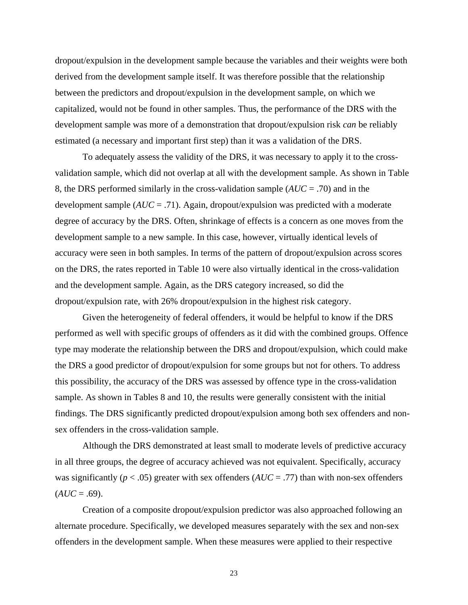dropout/expulsion in the development sample because the variables and their weights were both derived from the development sample itself. It was therefore possible that the relationship between the predictors and dropout/expulsion in the development sample, on which we capitalized, would not be found in other samples. Thus, the performance of the DRS with the development sample was more of a demonstration that dropout/expulsion risk *can* be reliably estimated (a necessary and important first step) than it was a validation of the DRS.

To adequately assess the validity of the DRS, it was necessary to apply it to the crossvalidation sample, which did not overlap at all with the development sample. As shown in Table 8, the DRS performed similarly in the cross-validation sample (*AUC* = .70) and in the development sample (*AUC* = .71). Again, dropout/expulsion was predicted with a moderate degree of accuracy by the DRS. Often, shrinkage of effects is a concern as one moves from the development sample to a new sample. In this case, however, virtually identical levels of accuracy were seen in both samples. In terms of the pattern of dropout/expulsion across scores on the DRS, the rates reported in Table 10 were also virtually identical in the cross-validation and the development sample. Again, as the DRS category increased, so did the dropout/expulsion rate, with 26% dropout/expulsion in the highest risk category.

Given the heterogeneity of federal offenders, it would be helpful to know if the DRS performed as well with specific groups of offenders as it did with the combined groups. Offence type may moderate the relationship between the DRS and dropout/expulsion, which could make the DRS a good predictor of dropout/expulsion for some groups but not for others. To address this possibility, the accuracy of the DRS was assessed by offence type in the cross-validation sample. As shown in Tables 8 and 10, the results were generally consistent with the initial findings. The DRS significantly predicted dropout/expulsion among both sex offenders and nonsex offenders in the cross-validation sample.

Although the DRS demonstrated at least small to moderate levels of predictive accuracy in all three groups, the degree of accuracy achieved was not equivalent. Specifically, accuracy was significantly ( $p < .05$ ) greater with sex offenders ( $AUC = .77$ ) than with non-sex offenders  $(AUC = .69)$ .

Creation of a composite dropout/expulsion predictor was also approached following an alternate procedure. Specifically, we developed measures separately with the sex and non-sex offenders in the development sample. When these measures were applied to their respective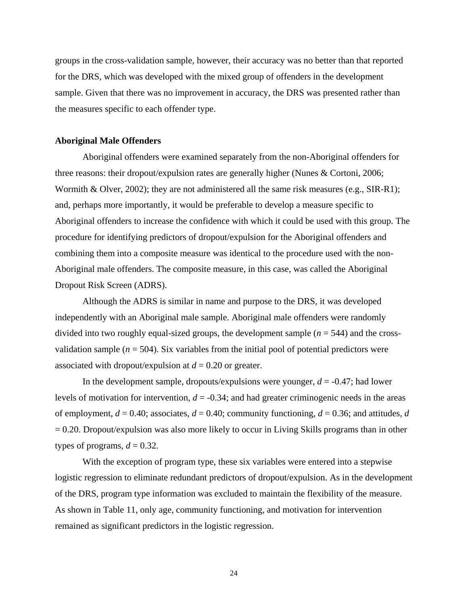groups in the cross-validation sample, however, their accuracy was no better than that reported for the DRS, which was developed with the mixed group of offenders in the development sample. Given that there was no improvement in accuracy, the DRS was presented rather than the measures specific to each offender type.

#### **Aboriginal Male Offenders**

Aboriginal offenders were examined separately from the non-Aboriginal offenders for three reasons: their dropout/expulsion rates are generally higher (Nunes & Cortoni, 2006; Wormith & Olver, 2002); they are not administered all the same risk measures (e.g., SIR-R1); and, perhaps more importantly, it would be preferable to develop a measure specific to Aboriginal offenders to increase the confidence with which it could be used with this group. The procedure for identifying predictors of dropout/expulsion for the Aboriginal offenders and combining them into a composite measure was identical to the procedure used with the non-Aboriginal male offenders. The composite measure, in this case, was called the Aboriginal Dropout Risk Screen (ADRS).

Although the ADRS is similar in name and purpose to the DRS, it was developed independently with an Aboriginal male sample. Aboriginal male offenders were randomly divided into two roughly equal-sized groups, the development sample  $(n = 544)$  and the crossvalidation sample  $(n = 504)$ . Six variables from the initial pool of potential predictors were associated with dropout/expulsion at *d* = 0.20 or greater.

In the development sample, dropouts/expulsions were younger, *d* = -0.47; had lower levels of motivation for intervention,  $d = -0.34$ ; and had greater criminogenic needs in the areas of employment,  $d = 0.40$ ; associates,  $d = 0.40$ ; community functioning,  $d = 0.36$ ; and attitudes,  $d$  $= 0.20$ . Dropout/expulsion was also more likely to occur in Living Skills programs than in other types of programs,  $d = 0.32$ .

With the exception of program type, these six variables were entered into a stepwise logistic regression to eliminate redundant predictors of dropout/expulsion. As in the development of the DRS, program type information was excluded to maintain the flexibility of the measure. As shown in Table 11, only age, community functioning, and motivation for intervention remained as significant predictors in the logistic regression.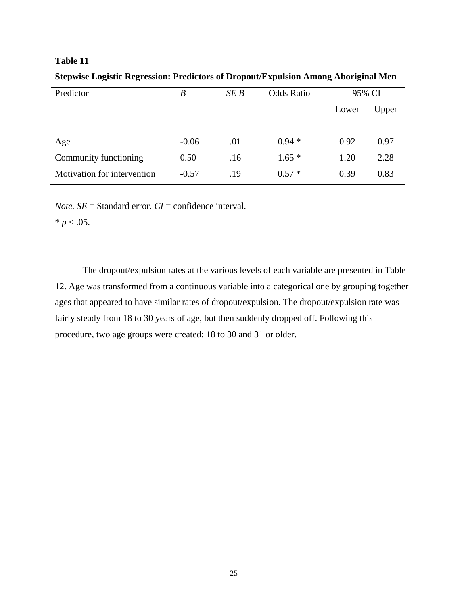**Stepwise Logistic Regression: Predictors of Dropout/Expulsion Among Aboriginal Men** 

| Predictor                   | B       | SEB | <b>Odds Ratio</b> | 95% CI |       |
|-----------------------------|---------|-----|-------------------|--------|-------|
|                             |         |     |                   | Lower  | Upper |
|                             |         |     |                   |        |       |
| Age                         | $-0.06$ | .01 | $0.94*$           | 0.92   | 0.97  |
| Community functioning       | 0.50    | .16 | $1.65*$           | 1.20   | 2.28  |
| Motivation for intervention | $-0.57$ | .19 | $0.57*$           | 0.39   | 0.83  |

*Note.*  $SE =$  Standard error.  $CI =$  confidence interval.

 $* p < .05.$ 

The dropout/expulsion rates at the various levels of each variable are presented in Table 12. Age was transformed from a continuous variable into a categorical one by grouping together ages that appeared to have similar rates of dropout/expulsion. The dropout/expulsion rate was fairly steady from 18 to 30 years of age, but then suddenly dropped off. Following this procedure, two age groups were created: 18 to 30 and 31 or older.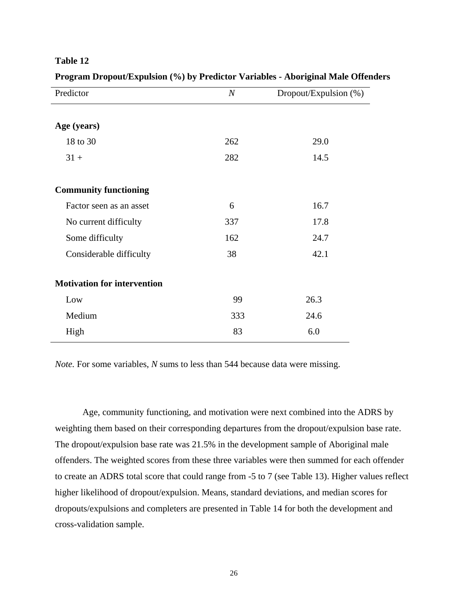| anı |  |
|-----|--|
|-----|--|

| Predictor                          | $\boldsymbol{N}$ | Dropout/Expulsion (%) |
|------------------------------------|------------------|-----------------------|
|                                    |                  |                       |
| Age (years)                        |                  |                       |
| 18 to 30                           | 262              | 29.0                  |
| $31 +$                             | 282              | 14.5                  |
|                                    |                  |                       |
| <b>Community functioning</b>       |                  |                       |
| Factor seen as an asset            | 6                | 16.7                  |
| No current difficulty              | 337              | 17.8                  |
| Some difficulty                    | 162              | 24.7                  |
| Considerable difficulty            | 38               | 42.1                  |
|                                    |                  |                       |
| <b>Motivation for intervention</b> |                  |                       |
| Low                                | 99               | 26.3                  |
| Medium                             | 333              | 24.6                  |
| High                               | 83               | 6.0                   |

**Program Dropout/Expulsion (%) by Predictor Variables - Aboriginal Male Offenders** 

*Note.* For some variables, *N* sums to less than 544 because data were missing.

Age, community functioning, and motivation were next combined into the ADRS by weighting them based on their corresponding departures from the dropout/expulsion base rate. The dropout/expulsion base rate was 21.5% in the development sample of Aboriginal male offenders. The weighted scores from these three variables were then summed for each offender to create an ADRS total score that could range from -5 to 7 (see Table 13). Higher values reflect higher likelihood of dropout/expulsion. Means, standard deviations, and median scores for dropouts/expulsions and completers are presented in Table 14 for both the development and cross-validation sample.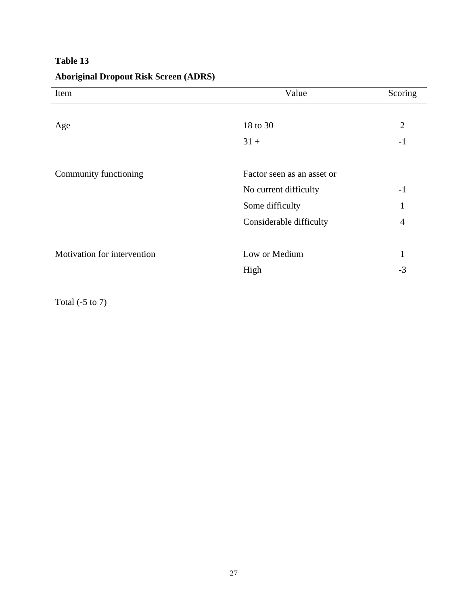| Item                        | Value                      | Scoring        |
|-----------------------------|----------------------------|----------------|
|                             |                            |                |
| Age                         | 18 to 30                   | $\overline{2}$ |
|                             | $31 +$                     | $-1$           |
|                             |                            |                |
| Community functioning       | Factor seen as an asset or |                |
|                             | No current difficulty      | $-1$           |
|                             | Some difficulty            | 1              |
|                             | Considerable difficulty    | $\overline{4}$ |
|                             |                            |                |
| Motivation for intervention | Low or Medium              | 1              |
|                             | High                       | $-3$           |
|                             |                            |                |
| Total $(-5 \text{ to } 7)$  |                            |                |

# **Aboriginal Dropout Risk Screen (ADRS)**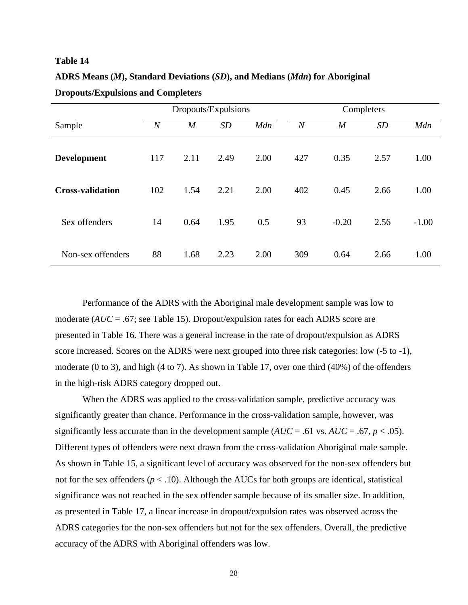| ADRS Means (M), Standard Deviations (SD), and Medians (Mdn) for Aboriginal |  |
|----------------------------------------------------------------------------|--|
| <b>Dropouts/Expulsions and Completers</b>                                  |  |

|                         | Dropouts/Expulsions |                |      | Completers |                |                  |           |         |
|-------------------------|---------------------|----------------|------|------------|----------------|------------------|-----------|---------|
| Sample                  | $\overline{N}$      | $\overline{M}$ | SD   | Mdn        | $\overline{N}$ | $\boldsymbol{M}$ | <b>SD</b> | Mdn     |
| <b>Development</b>      | 117                 | 2.11           | 2.49 | 2.00       | 427            | 0.35             | 2.57      | 1.00    |
| <b>Cross-validation</b> | 102                 | 1.54           | 2.21 | 2.00       | 402            | 0.45             | 2.66      | 1.00    |
| Sex offenders           | 14                  | 0.64           | 1.95 | 0.5        | 93             | $-0.20$          | 2.56      | $-1.00$ |
| Non-sex offenders       | 88                  | 1.68           | 2.23 | 2.00       | 309            | 0.64             | 2.66      | 1.00    |

Performance of the ADRS with the Aboriginal male development sample was low to moderate (*AUC* = .67; see Table 15). Dropout/expulsion rates for each ADRS score are presented in Table 16. There was a general increase in the rate of dropout/expulsion as ADRS score increased. Scores on the ADRS were next grouped into three risk categories: low (-5 to -1), moderate (0 to 3), and high (4 to 7). As shown in Table 17, over one third (40%) of the offenders in the high-risk ADRS category dropped out.

When the ADRS was applied to the cross-validation sample, predictive accuracy was significantly greater than chance. Performance in the cross-validation sample, however, was significantly less accurate than in the development sample  $(AUC = .61 \text{ vs. } AUC = .67, p < .05)$ . Different types of offenders were next drawn from the cross-validation Aboriginal male sample. As shown in Table 15, a significant level of accuracy was observed for the non-sex offenders but not for the sex offenders ( $p < .10$ ). Although the AUCs for both groups are identical, statistical significance was not reached in the sex offender sample because of its smaller size. In addition, as presented in Table 17, a linear increase in dropout/expulsion rates was observed across the ADRS categories for the non-sex offenders but not for the sex offenders. Overall, the predictive accuracy of the ADRS with Aboriginal offenders was low.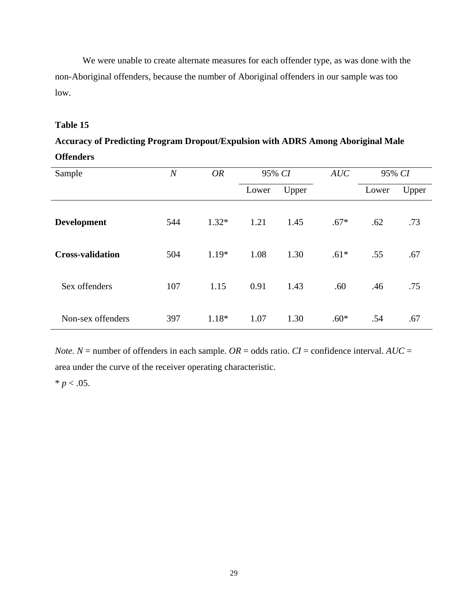We were unable to create alternate measures for each offender type, as was done with the non-Aboriginal offenders, because the number of Aboriginal offenders in our sample was too low.

### **Table 15**

# **Accuracy of Predicting Program Dropout/Expulsion with ADRS Among Aboriginal Male Offenders**

| Sample                  | $\boldsymbol{N}$ | <b>OR</b> | 95% CI |       | AUC    | 95% CI |       |
|-------------------------|------------------|-----------|--------|-------|--------|--------|-------|
|                         |                  |           | Lower  | Upper |        | Lower  | Upper |
| <b>Development</b>      | 544              | $1.32*$   | 1.21   | 1.45  | $.67*$ | .62    | .73   |
| <b>Cross-validation</b> | 504              | $1.19*$   | 1.08   | 1.30  | $.61*$ | .55    | .67   |
| Sex offenders           | 107              | 1.15      | 0.91   | 1.43  | .60    | .46    | .75   |
| Non-sex offenders       | 397              | 1.18*     | 1.07   | 1.30  | $.60*$ | .54    | .67   |

*Note.*  $N =$  number of offenders in each sample.  $OR =$  odds ratio.  $CI =$  confidence interval.  $AUC =$ area under the curve of the receiver operating characteristic.

 $* p < .05.$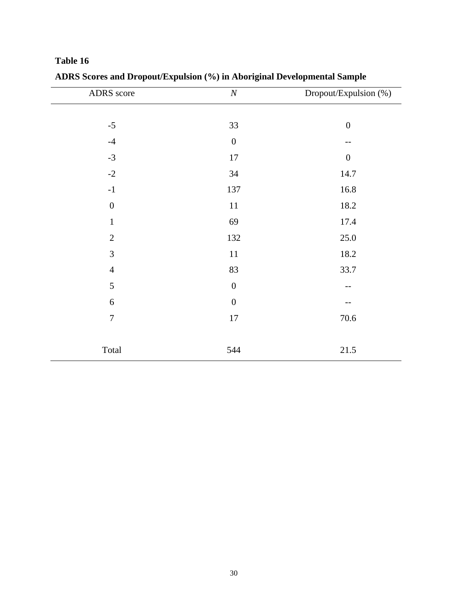| ADRS score     | $\cal N$         | Dropout/Expulsion (%) |
|----------------|------------------|-----------------------|
|                |                  |                       |
| $-5$           | 33               | $\boldsymbol{0}$      |
| $-4$           | $\boldsymbol{0}$ | --                    |
| $-3$           | 17               | $\boldsymbol{0}$      |
| $-2$           | 34               | 14.7                  |
| $^{\rm -1}$    | 137              | 16.8                  |
| $\overline{0}$ | $11\,$           | 18.2                  |
| $\mathbf{1}$   | 69               | 17.4                  |
| $\overline{2}$ | 132              | 25.0                  |
| 3              | $11\,$           | 18.2                  |
| $\overline{4}$ | 83               | 33.7                  |
| 5              | $\boldsymbol{0}$ | --                    |
| 6              | $\boldsymbol{0}$ |                       |
| $\overline{7}$ | 17               | 70.6                  |
|                |                  |                       |
| Total          | 544              | 21.5                  |

**ADRS Scores and Dropout/Expulsion (%) in Aboriginal Developmental Sample**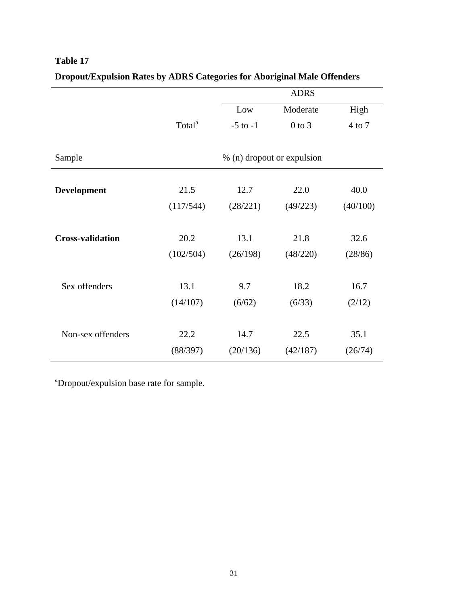|                         |                    |              | <b>ADRS</b>                |          |
|-------------------------|--------------------|--------------|----------------------------|----------|
|                         |                    | Low          | Moderate                   | High     |
|                         | Total <sup>a</sup> | $-5$ to $-1$ | $0$ to $3$                 | 4 to 7   |
|                         |                    |              |                            |          |
| Sample                  |                    |              | % (n) dropout or expulsion |          |
|                         |                    |              |                            |          |
| <b>Development</b>      | 21.5               | 12.7         | 22.0                       | 40.0     |
|                         | (117/544)          | (28/221)     | (49/223)                   | (40/100) |
|                         |                    |              |                            |          |
| <b>Cross-validation</b> | 20.2               | 13.1         | 21.8                       | 32.6     |
|                         | (102/504)          | (26/198)     | (48/220)                   | (28/86)  |
|                         |                    |              |                            |          |
| Sex offenders           | 13.1               | 9.7          | 18.2                       | 16.7     |
|                         | (14/107)           | (6/62)       | (6/33)                     | (2/12)   |
|                         |                    |              |                            |          |
| Non-sex offenders       | 22.2               | 14.7         | 22.5                       | 35.1     |
|                         | (88/397)           | (20/136)     | (42/187)                   | (26/74)  |

# **Dropout/Expulsion Rates by ADRS Categories for Aboriginal Male Offenders**

<sup>a</sup>Dropout/expulsion base rate for sample.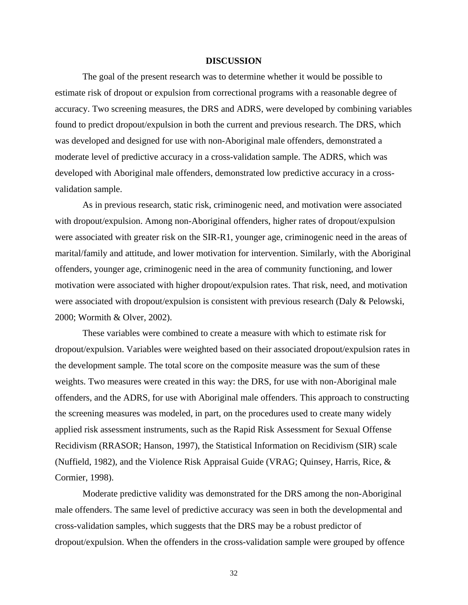#### **DISCUSSION**

<span id="page-39-0"></span>The goal of the present research was to determine whether it would be possible to estimate risk of dropout or expulsion from correctional programs with a reasonable degree of accuracy. Two screening measures, the DRS and ADRS, were developed by combining variables found to predict dropout/expulsion in both the current and previous research. The DRS, which was developed and designed for use with non-Aboriginal male offenders, demonstrated a moderate level of predictive accuracy in a cross-validation sample. The ADRS, which was developed with Aboriginal male offenders, demonstrated low predictive accuracy in a crossvalidation sample.

As in previous research, static risk, criminogenic need, and motivation were associated with dropout/expulsion. Among non-Aboriginal offenders, higher rates of dropout/expulsion were associated with greater risk on the SIR-R1, younger age, criminogenic need in the areas of marital/family and attitude, and lower motivation for intervention. Similarly, with the Aboriginal offenders, younger age, criminogenic need in the area of community functioning, and lower motivation were associated with higher dropout/expulsion rates. That risk, need, and motivation were associated with dropout/expulsion is consistent with previous research (Daly & Pelowski, 2000; Wormith & Olver, 2002).

These variables were combined to create a measure with which to estimate risk for dropout/expulsion. Variables were weighted based on their associated dropout/expulsion rates in the development sample. The total score on the composite measure was the sum of these weights. Two measures were created in this way: the DRS, for use with non-Aboriginal male offenders, and the ADRS, for use with Aboriginal male offenders. This approach to constructing the screening measures was modeled, in part, on the procedures used to create many widely applied risk assessment instruments, such as the Rapid Risk Assessment for Sexual Offense Recidivism (RRASOR; Hanson, 1997), the Statistical Information on Recidivism (SIR) scale (Nuffield, 1982), and the Violence Risk Appraisal Guide (VRAG; Quinsey, Harris, Rice, & Cormier, 1998).

Moderate predictive validity was demonstrated for the DRS among the non-Aboriginal male offenders. The same level of predictive accuracy was seen in both the developmental and cross-validation samples, which suggests that the DRS may be a robust predictor of dropout/expulsion. When the offenders in the cross-validation sample were grouped by offence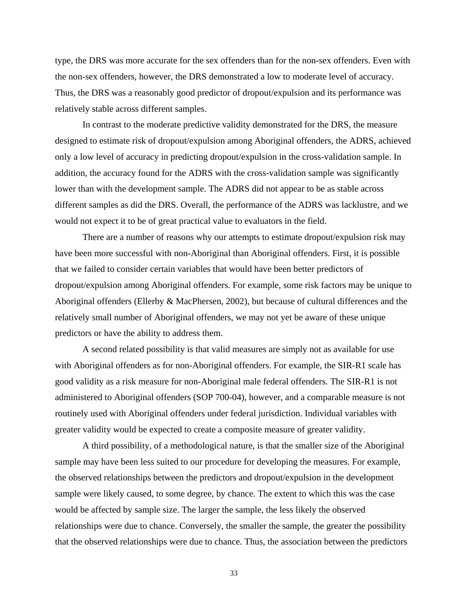type, the DRS was more accurate for the sex offenders than for the non-sex offenders. Even with the non-sex offenders, however, the DRS demonstrated a low to moderate level of accuracy. Thus, the DRS was a reasonably good predictor of dropout/expulsion and its performance was relatively stable across different samples.

In contrast to the moderate predictive validity demonstrated for the DRS, the measure designed to estimate risk of dropout/expulsion among Aboriginal offenders, the ADRS, achieved only a low level of accuracy in predicting dropout/expulsion in the cross-validation sample. In addition, the accuracy found for the ADRS with the cross-validation sample was significantly lower than with the development sample. The ADRS did not appear to be as stable across different samples as did the DRS. Overall, the performance of the ADRS was lacklustre, and we would not expect it to be of great practical value to evaluators in the field.

There are a number of reasons why our attempts to estimate dropout/expulsion risk may have been more successful with non-Aboriginal than Aboriginal offenders. First, it is possible that we failed to consider certain variables that would have been better predictors of dropout/expulsion among Aboriginal offenders. For example, some risk factors may be unique to Aboriginal offenders (Ellerby & MacPhersen, 2002), but because of cultural differences and the relatively small number of Aboriginal offenders, we may not yet be aware of these unique predictors or have the ability to address them.

A second related possibility is that valid measures are simply not as available for use with Aboriginal offenders as for non-Aboriginal offenders. For example, the SIR-R1 scale has good validity as a risk measure for non-Aboriginal male federal offenders. The SIR-R1 is not administered to Aboriginal offenders (SOP 700-04), however, and a comparable measure is not routinely used with Aboriginal offenders under federal jurisdiction. Individual variables with greater validity would be expected to create a composite measure of greater validity.

A third possibility, of a methodological nature, is that the smaller size of the Aboriginal sample may have been less suited to our procedure for developing the measures. For example, the observed relationships between the predictors and dropout/expulsion in the development sample were likely caused, to some degree, by chance. The extent to which this was the case would be affected by sample size. The larger the sample, the less likely the observed relationships were due to chance. Conversely, the smaller the sample, the greater the possibility that the observed relationships were due to chance. Thus, the association between the predictors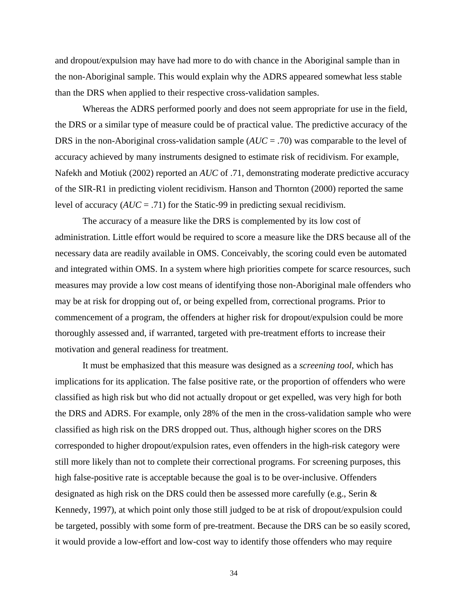and dropout/expulsion may have had more to do with chance in the Aboriginal sample than in the non-Aboriginal sample. This would explain why the ADRS appeared somewhat less stable than the DRS when applied to their respective cross-validation samples.

Whereas the ADRS performed poorly and does not seem appropriate for use in the field, the DRS or a similar type of measure could be of practical value. The predictive accuracy of the DRS in the non-Aboriginal cross-validation sample (*AUC* = .70) was comparable to the level of accuracy achieved by many instruments designed to estimate risk of recidivism. For example, Nafekh and Motiuk (2002) reported an *AUC* of .71, demonstrating moderate predictive accuracy of the SIR-R1 in predicting violent recidivism. Hanson and Thornton (2000) reported the same level of accuracy (*AUC* = .71) for the Static-99 in predicting sexual recidivism.

The accuracy of a measure like the DRS is complemented by its low cost of administration. Little effort would be required to score a measure like the DRS because all of the necessary data are readily available in OMS. Conceivably, the scoring could even be automated and integrated within OMS. In a system where high priorities compete for scarce resources, such measures may provide a low cost means of identifying those non-Aboriginal male offenders who may be at risk for dropping out of, or being expelled from, correctional programs. Prior to commencement of a program, the offenders at higher risk for dropout/expulsion could be more thoroughly assessed and, if warranted, targeted with pre-treatment efforts to increase their motivation and general readiness for treatment.

It must be emphasized that this measure was designed as a *screening tool*, which has implications for its application. The false positive rate, or the proportion of offenders who were classified as high risk but who did not actually dropout or get expelled, was very high for both the DRS and ADRS. For example, only 28% of the men in the cross-validation sample who were classified as high risk on the DRS dropped out. Thus, although higher scores on the DRS corresponded to higher dropout/expulsion rates, even offenders in the high-risk category were still more likely than not to complete their correctional programs. For screening purposes, this high false-positive rate is acceptable because the goal is to be over-inclusive. Offenders designated as high risk on the DRS could then be assessed more carefully (e.g., Serin & Kennedy, 1997), at which point only those still judged to be at risk of dropout/expulsion could be targeted, possibly with some form of pre-treatment. Because the DRS can be so easily scored, it would provide a low-effort and low-cost way to identify those offenders who may require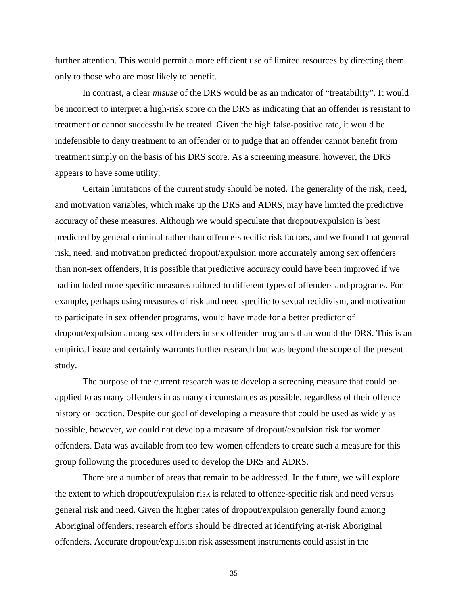further attention. This would permit a more efficient use of limited resources by directing them only to those who are most likely to benefit.

In contrast, a clear *misuse* of the DRS would be as an indicator of "treatability". It would be incorrect to interpret a high-risk score on the DRS as indicating that an offender is resistant to treatment or cannot successfully be treated. Given the high false-positive rate, it would be indefensible to deny treatment to an offender or to judge that an offender cannot benefit from treatment simply on the basis of his DRS score. As a screening measure, however, the DRS appears to have some utility.

Certain limitations of the current study should be noted. The generality of the risk, need, and motivation variables, which make up the DRS and ADRS, may have limited the predictive accuracy of these measures. Although we would speculate that dropout/expulsion is best predicted by general criminal rather than offence-specific risk factors, and we found that general risk, need, and motivation predicted dropout/expulsion more accurately among sex offenders than non-sex offenders, it is possible that predictive accuracy could have been improved if we had included more specific measures tailored to different types of offenders and programs. For example, perhaps using measures of risk and need specific to sexual recidivism, and motivation to participate in sex offender programs, would have made for a better predictor of dropout/expulsion among sex offenders in sex offender programs than would the DRS. This is an empirical issue and certainly warrants further research but was beyond the scope of the present study.

The purpose of the current research was to develop a screening measure that could be applied to as many offenders in as many circumstances as possible, regardless of their offence history or location. Despite our goal of developing a measure that could be used as widely as possible, however, we could not develop a measure of dropout/expulsion risk for women offenders. Data was available from too few women offenders to create such a measure for this group following the procedures used to develop the DRS and ADRS.

There are a number of areas that remain to be addressed. In the future, we will explore the extent to which dropout/expulsion risk is related to offence-specific risk and need versus general risk and need. Given the higher rates of dropout/expulsion generally found among Aboriginal offenders, research efforts should be directed at identifying at-risk Aboriginal offenders. Accurate dropout/expulsion risk assessment instruments could assist in the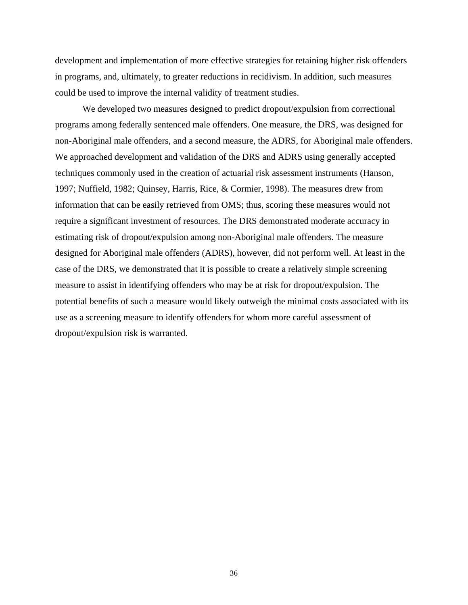development and implementation of more effective strategies for retaining higher risk offenders in programs, and, ultimately, to greater reductions in recidivism. In addition, such measures could be used to improve the internal validity of treatment studies.

We developed two measures designed to predict dropout/expulsion from correctional programs among federally sentenced male offenders. One measure, the DRS, was designed for non-Aboriginal male offenders, and a second measure, the ADRS, for Aboriginal male offenders. We approached development and validation of the DRS and ADRS using generally accepted techniques commonly used in the creation of actuarial risk assessment instruments (Hanson, 1997; Nuffield, 1982; Quinsey, Harris, Rice, & Cormier, 1998). The measures drew from information that can be easily retrieved from OMS; thus, scoring these measures would not require a significant investment of resources. The DRS demonstrated moderate accuracy in estimating risk of dropout/expulsion among non-Aboriginal male offenders. The measure designed for Aboriginal male offenders (ADRS), however, did not perform well. At least in the case of the DRS, we demonstrated that it is possible to create a relatively simple screening measure to assist in identifying offenders who may be at risk for dropout/expulsion. The potential benefits of such a measure would likely outweigh the minimal costs associated with its use as a screening measure to identify offenders for whom more careful assessment of dropout/expulsion risk is warranted.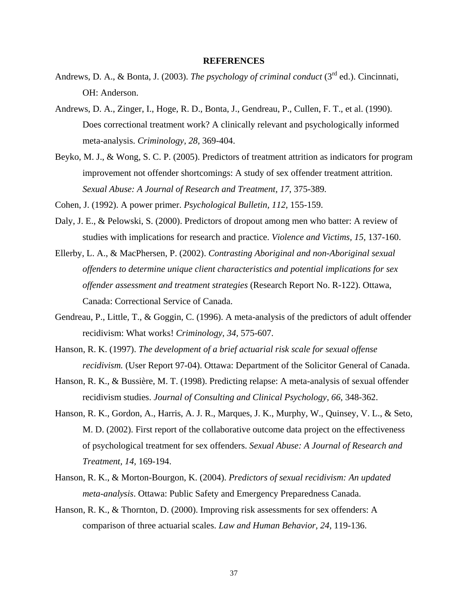#### **REFERENCES**

- <span id="page-44-0"></span>Andrews, D. A., & Bonta, J. (2003). *The psychology of criminal conduct* (3<sup>rd</sup> ed.). Cincinnati, OH: Anderson.
- Andrews, D. A., Zinger, I., Hoge, R. D., Bonta, J., Gendreau, P., Cullen, F. T., et al. (1990). Does correctional treatment work? A clinically relevant and psychologically informed meta-analysis. *Criminology, 28,* 369-404.
- Beyko, M. J., & Wong, S. C. P. (2005). Predictors of treatment attrition as indicators for program improvement not offender shortcomings: A study of sex offender treatment attrition. *Sexual Abuse: A Journal of Research and Treatment, 17*, 375-389*.*
- Cohen, J. (1992). A power primer. *Psychological Bulletin, 112,* 155-159.
- Daly, J. E., & Pelowski, S. (2000). Predictors of dropout among men who batter: A review of studies with implications for research and practice. *Violence and Victims, 15,* 137-160.
- Ellerby, L. A., & MacPhersen, P. (2002). *Contrasting Aboriginal and non-Aboriginal sexual offenders to determine unique client characteristics and potential implications for sex offender assessment and treatment strategies* (Research Report No. R-122). Ottawa, Canada: Correctional Service of Canada.
- Gendreau, P., Little, T., & Goggin, C. (1996). A meta-analysis of the predictors of adult offender recidivism: What works! *Criminology, 34,* 575-607.
- Hanson, R. K. (1997). *The development of a brief actuarial risk scale for sexual offense recidivism.* (User Report 97-04). Ottawa: Department of the Solicitor General of Canada.
- Hanson, R. K., & Bussière, M. T. (1998). Predicting relapse: A meta-analysis of sexual offender recidivism studies. *Journal of Consulting and Clinical Psychology, 66,* 348-362.
- Hanson, R. K., Gordon, A., Harris, A. J. R., Marques, J. K., Murphy, W., Quinsey, V. L., & Seto, M. D. (2002). First report of the collaborative outcome data project on the effectiveness of psychological treatment for sex offenders. *Sexual Abuse: A Journal of Research and Treatment, 14,* 169-194.
- Hanson, R. K., & Morton-Bourgon, K. (2004). *Predictors of sexual recidivism: An updated meta-analysis*. Ottawa: Public Safety and Emergency Preparedness Canada.
- Hanson, R. K., & Thornton, D. (2000). Improving risk assessments for sex offenders: A comparison of three actuarial scales. *Law and Human Behavior, 24,* 119-136.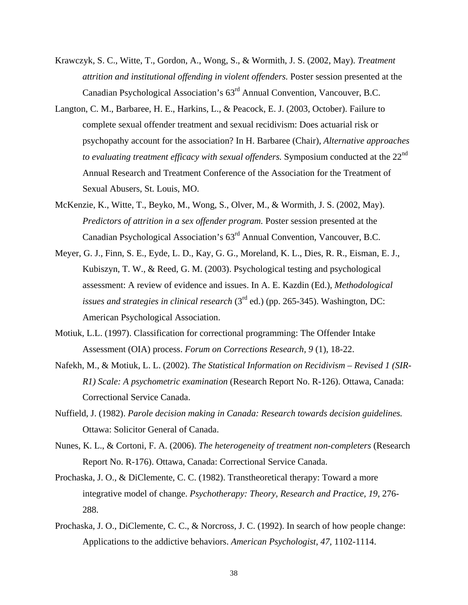- Krawczyk, S. C., Witte, T., Gordon, A., Wong, S., & Wormith, J. S. (2002, May). *Treatment attrition and institutional offending in violent offenders.* Poster session presented at the Canadian Psychological Association's 63rd Annual Convention, Vancouver, B.C.
- Langton, C. M., Barbaree, H. E., Harkins, L., & Peacock, E. J. (2003, October). Failure to complete sexual offender treatment and sexual recidivism: Does actuarial risk or psychopathy account for the association? In H. Barbaree (Chair), *Alternative approaches to evaluating treatment efficacy with sexual offenders.* Symposium conducted at the 22<sup>nd</sup> Annual Research and Treatment Conference of the Association for the Treatment of Sexual Abusers, St. Louis, MO.
- McKenzie, K., Witte, T., Beyko, M., Wong, S., Olver, M., & Wormith, J. S. (2002, May). *Predictors of attrition in a sex offender program.* Poster session presented at the Canadian Psychological Association's 63rd Annual Convention, Vancouver, B.C.
- Meyer, G. J., Finn, S. E., Eyde, L. D., Kay, G. G., Moreland, K. L., Dies, R. R., Eisman, E. J., Kubiszyn, T. W., & Reed, G. M. (2003). Psychological testing and psychological assessment: A review of evidence and issues. In A. E. Kazdin (Ed.), *Methodological issues and strategies in clinical research* (3rd ed.) (pp. 265-345). Washington, DC: American Psychological Association.
- Motiuk, L.L. (1997). Classification for correctional programming: The Offender Intake Assessment (OIA) process. *Forum on Corrections Research, 9* (1), 18-22.
- Nafekh, M., & Motiuk, L. L. (2002). *The Statistical Information on Recidivism Revised 1 (SIR-R1) Scale: A psychometric examination* (Research Report No. R-126). Ottawa, Canada: Correctional Service Canada.
- Nuffield, J. (1982). *Parole decision making in Canada: Research towards decision guidelines.* Ottawa: Solicitor General of Canada.
- Nunes, K. L., & Cortoni, F. A. (2006). *The heterogeneity of treatment non-completers* (Research Report No. R-176). Ottawa, Canada: Correctional Service Canada.
- Prochaska, J. O., & DiClemente, C. C. (1982). Transtheoretical therapy: Toward a more integrative model of change. *Psychotherapy: Theory, Research and Practice, 19,* 276- 288.
- Prochaska, J. O., DiClemente, C. C., & Norcross, J. C. (1992). In search of how people change: Applications to the addictive behaviors. *American Psychologist, 47,* 1102-1114.